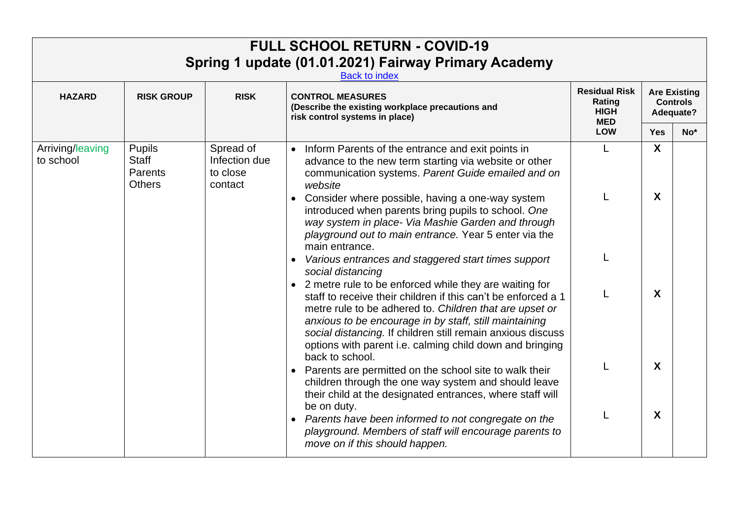|                               |                                                           |                                                   | <b>FULL SCHOOL RETURN - COVID-19</b><br>Spring 1 update (01.01.2021) Fairway Primary Academy<br><b>Back to index</b>                                                                                                                                                                                                                                                                           |                                                             |                       |                                                     |
|-------------------------------|-----------------------------------------------------------|---------------------------------------------------|------------------------------------------------------------------------------------------------------------------------------------------------------------------------------------------------------------------------------------------------------------------------------------------------------------------------------------------------------------------------------------------------|-------------------------------------------------------------|-----------------------|-----------------------------------------------------|
| <b>HAZARD</b>                 | <b>RISK GROUP</b>                                         | <b>RISK</b>                                       | <b>CONTROL MEASURES</b><br>(Describe the existing workplace precautions and<br>risk control systems in place)                                                                                                                                                                                                                                                                                  | <b>Residual Risk</b><br>Rating<br><b>HIGH</b><br><b>MED</b> |                       | <b>Are Existing</b><br><b>Controls</b><br>Adequate? |
|                               |                                                           |                                                   |                                                                                                                                                                                                                                                                                                                                                                                                | <b>LOW</b>                                                  | <b>Yes</b>            | $No*$                                               |
| Arriving/leaving<br>to school | <b>Pupils</b><br><b>Staff</b><br>Parents<br><b>Others</b> | Spread of<br>Infection due<br>to close<br>contact | • Inform Parents of the entrance and exit points in<br>advance to the new term starting via website or other<br>communication systems. Parent Guide emailed and on<br>website<br>• Consider where possible, having a one-way system                                                                                                                                                            | L                                                           | $\boldsymbol{X}$<br>X |                                                     |
|                               |                                                           |                                                   | introduced when parents bring pupils to school. One<br>way system in place- Via Mashie Garden and through<br>playground out to main entrance. Year 5 enter via the<br>main entrance.<br>Various entrances and staggered start times support                                                                                                                                                    |                                                             |                       |                                                     |
|                               |                                                           |                                                   | social distancing<br>• 2 metre rule to be enforced while they are waiting for<br>staff to receive their children if this can't be enforced a 1<br>metre rule to be adhered to. Children that are upset or<br>anxious to be encourage in by staff, still maintaining<br>social distancing. If children still remain anxious discuss<br>options with parent i.e. calming child down and bringing |                                                             | X                     |                                                     |
|                               |                                                           |                                                   | back to school.<br>Parents are permitted on the school site to walk their<br>children through the one way system and should leave<br>their child at the designated entrances, where staff will                                                                                                                                                                                                 |                                                             | X                     |                                                     |
|                               |                                                           |                                                   | be on duty.<br>• Parents have been informed to not congregate on the<br>playground. Members of staff will encourage parents to<br>move on if this should happen.                                                                                                                                                                                                                               |                                                             | X                     |                                                     |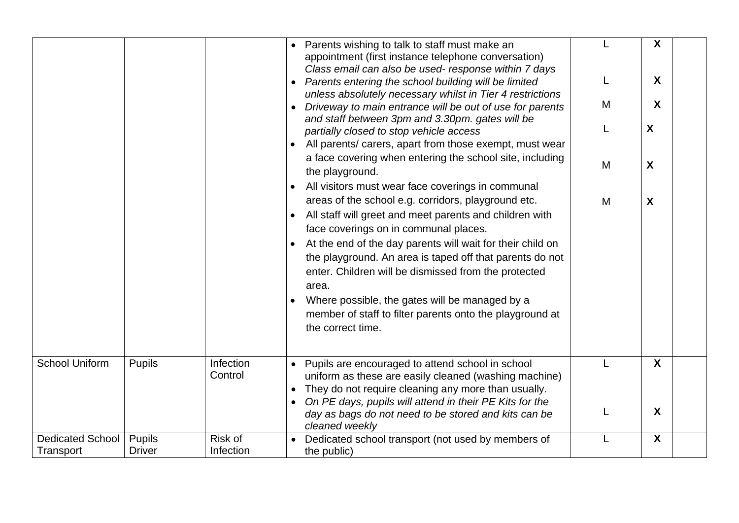|                                      |                                |                      | Parents wishing to talk to staff must make an<br>appointment (first instance telephone conversation)<br>Class email can also be used- response within 7 days                                                                |   | X<br>X |  |
|--------------------------------------|--------------------------------|----------------------|-----------------------------------------------------------------------------------------------------------------------------------------------------------------------------------------------------------------------------|---|--------|--|
|                                      |                                |                      | Parents entering the school building will be limited<br>unless absolutely necessary whilst in Tier 4 restrictions                                                                                                           |   |        |  |
|                                      |                                |                      | Driveway to main entrance will be out of use for parents                                                                                                                                                                    | M | X      |  |
|                                      |                                |                      | and staff between 3pm and 3.30pm. gates will be<br>partially closed to stop vehicle access                                                                                                                                  |   | X      |  |
|                                      |                                |                      | All parents/ carers, apart from those exempt, must wear                                                                                                                                                                     |   |        |  |
|                                      |                                |                      | a face covering when entering the school site, including<br>the playground.                                                                                                                                                 | M | X      |  |
|                                      |                                |                      | All visitors must wear face coverings in communal                                                                                                                                                                           |   |        |  |
|                                      |                                |                      | areas of the school e.g. corridors, playground etc.<br>All staff will greet and meet parents and children with                                                                                                              | M | X      |  |
|                                      |                                |                      | face coverings on in communal places.                                                                                                                                                                                       |   |        |  |
|                                      |                                |                      | At the end of the day parents will wait for their child on<br>the playground. An area is taped off that parents do not<br>enter. Children will be dismissed from the protected<br>area.                                     |   |        |  |
|                                      |                                |                      | Where possible, the gates will be managed by a<br>member of staff to filter parents onto the playground at<br>the correct time.                                                                                             |   |        |  |
| <b>School Uniform</b>                | <b>Pupils</b>                  | Infection<br>Control | Pupils are encouraged to attend school in school<br>uniform as these are easily cleaned (washing machine)<br>They do not require cleaning any more than usually.<br>On PE days, pupils will attend in their PE Kits for the |   | X      |  |
|                                      |                                |                      | day as bags do not need to be stored and kits can be<br>cleaned weekly                                                                                                                                                      |   | X      |  |
| <b>Dedicated School</b><br>Transport | <b>Pupils</b><br><b>Driver</b> | Risk of<br>Infection | Dedicated school transport (not used by members of                                                                                                                                                                          | L | X      |  |
|                                      |                                |                      | the public)                                                                                                                                                                                                                 |   |        |  |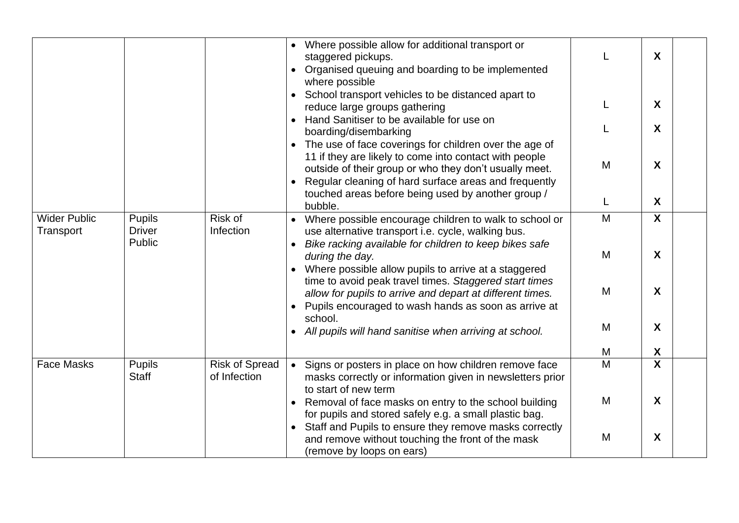|                                  |                                          |                                       | Where possible allow for additional transport or<br>staggered pickups.<br>Organised queuing and boarding to be implemented<br>where possible<br>School transport vehicles to be distanced apart to<br>reduce large groups gathering                                                                    |   | $\boldsymbol{X}$<br>X     |
|----------------------------------|------------------------------------------|---------------------------------------|--------------------------------------------------------------------------------------------------------------------------------------------------------------------------------------------------------------------------------------------------------------------------------------------------------|---|---------------------------|
|                                  |                                          |                                       | Hand Sanitiser to be available for use on<br>boarding/disembarking                                                                                                                                                                                                                                     |   | X                         |
|                                  |                                          |                                       | The use of face coverings for children over the age of<br>$\bullet$<br>11 if they are likely to come into contact with people<br>outside of their group or who they don't usually meet.<br>Regular cleaning of hard surface areas and frequently<br>touched areas before being used by another group / | M | X                         |
|                                  |                                          |                                       | bubble.                                                                                                                                                                                                                                                                                                | L | $\boldsymbol{X}$          |
| <b>Wider Public</b><br>Transport | <b>Pupils</b><br><b>Driver</b><br>Public | Risk of<br>Infection                  | Where possible encourage children to walk to school or<br>use alternative transport i.e. cycle, walking bus.                                                                                                                                                                                           | M | X                         |
|                                  |                                          |                                       | Bike racking available for children to keep bikes safe<br>during the day.<br>Where possible allow pupils to arrive at a staggered                                                                                                                                                                      | M | X                         |
|                                  |                                          |                                       | time to avoid peak travel times. Staggered start times<br>allow for pupils to arrive and depart at different times.<br>Pupils encouraged to wash hands as soon as arrive at                                                                                                                            | M | $\boldsymbol{X}$          |
|                                  |                                          |                                       | school.<br>All pupils will hand sanitise when arriving at school.                                                                                                                                                                                                                                      | M | X                         |
|                                  |                                          |                                       |                                                                                                                                                                                                                                                                                                        | M | X                         |
| <b>Face Masks</b>                | <b>Pupils</b><br><b>Staff</b>            | <b>Risk of Spread</b><br>of Infection | Signs or posters in place on how children remove face<br>$\bullet$<br>masks correctly or information given in newsletters prior<br>to start of new term                                                                                                                                                | M | $\boldsymbol{\mathsf{X}}$ |
|                                  |                                          |                                       | Removal of face masks on entry to the school building<br>for pupils and stored safely e.g. a small plastic bag.                                                                                                                                                                                        | M | X                         |
|                                  |                                          |                                       | Staff and Pupils to ensure they remove masks correctly<br>and remove without touching the front of the mask<br>(remove by loops on ears)                                                                                                                                                               | M | X                         |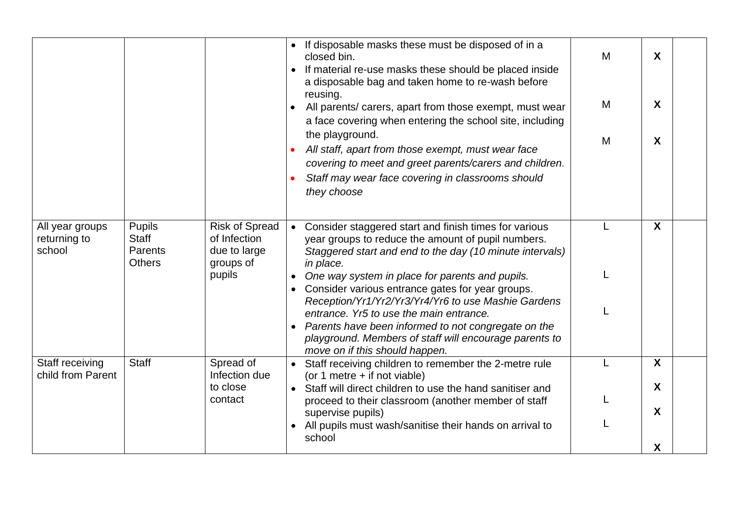|                                           |                                                                  |                                                                    | If disposable masks these must be disposed of in a<br>closed bin.<br>If material re-use masks these should be placed inside<br>a disposable bag and taken home to re-wash before<br>reusing.<br>All parents/ carers, apart from those exempt, must wear<br>a face covering when entering the school site, including<br>the playground.<br>All staff, apart from those exempt, must wear face<br>covering to meet and greet parents/carers and children.<br>Staff may wear face covering in classrooms should<br>they choose | M<br>M<br>M | $\boldsymbol{X}$<br>X<br>X |
|-------------------------------------------|------------------------------------------------------------------|--------------------------------------------------------------------|-----------------------------------------------------------------------------------------------------------------------------------------------------------------------------------------------------------------------------------------------------------------------------------------------------------------------------------------------------------------------------------------------------------------------------------------------------------------------------------------------------------------------------|-------------|----------------------------|
| All year groups<br>returning to<br>school | <b>Pupils</b><br><b>Staff</b><br><b>Parents</b><br><b>Others</b> | <b>Risk of Spread</b><br>of Infection<br>due to large<br>groups of | Consider staggered start and finish times for various<br>$\bullet$<br>year groups to reduce the amount of pupil numbers.<br>Staggered start and end to the day (10 minute intervals)<br>in place.                                                                                                                                                                                                                                                                                                                           |             | X                          |
|                                           |                                                                  | pupils                                                             | One way system in place for parents and pupils.<br>Consider various entrance gates for year groups.<br>Reception/Yr1/Yr2/Yr3/Yr4/Yr6 to use Mashie Gardens                                                                                                                                                                                                                                                                                                                                                                  |             |                            |
|                                           |                                                                  |                                                                    | entrance. Yr5 to use the main entrance.<br>Parents have been informed to not congregate on the<br>$\bullet$<br>playground. Members of staff will encourage parents to<br>move on if this should happen.                                                                                                                                                                                                                                                                                                                     |             |                            |
| Staff receiving<br>child from Parent      | <b>Staff</b>                                                     | Spread of<br>Infection due                                         | Staff receiving children to remember the 2-metre rule<br>(or 1 metre $+$ if not viable)                                                                                                                                                                                                                                                                                                                                                                                                                                     |             | X                          |
|                                           |                                                                  | to close<br>contact                                                | Staff will direct children to use the hand sanitiser and                                                                                                                                                                                                                                                                                                                                                                                                                                                                    |             | X                          |
|                                           |                                                                  |                                                                    | proceed to their classroom (another member of staff<br>supervise pupils)                                                                                                                                                                                                                                                                                                                                                                                                                                                    |             | X                          |
|                                           |                                                                  |                                                                    | All pupils must wash/sanitise their hands on arrival to<br>school                                                                                                                                                                                                                                                                                                                                                                                                                                                           |             |                            |
|                                           |                                                                  |                                                                    |                                                                                                                                                                                                                                                                                                                                                                                                                                                                                                                             |             | X                          |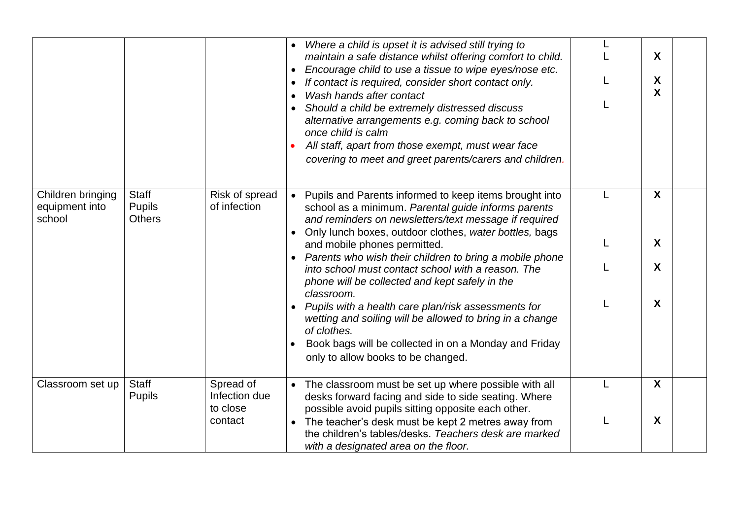|                                               |                                                |                                        | Where a child is upset it is advised still trying to<br>maintain a safe distance whilst offering comfort to child.<br>Encourage child to use a tissue to wipe eyes/nose etc.<br>If contact is required, consider short contact only.<br>Wash hands after contact<br>Should a child be extremely distressed discuss<br>alternative arrangements e.g. coming back to school<br>once child is calm<br>All staff, apart from those exempt, must wear face<br>covering to meet and greet parents/carers and children. |   | X<br>X<br>X |
|-----------------------------------------------|------------------------------------------------|----------------------------------------|------------------------------------------------------------------------------------------------------------------------------------------------------------------------------------------------------------------------------------------------------------------------------------------------------------------------------------------------------------------------------------------------------------------------------------------------------------------------------------------------------------------|---|-------------|
| Children bringing<br>equipment into<br>school | <b>Staff</b><br><b>Pupils</b><br><b>Others</b> | Risk of spread<br>of infection         | • Pupils and Parents informed to keep items brought into<br>school as a minimum. Parental guide informs parents<br>and reminders on newsletters/text message if required<br>Only lunch boxes, outdoor clothes, water bottles, bags                                                                                                                                                                                                                                                                               | L | X           |
|                                               |                                                |                                        | and mobile phones permitted.<br>Parents who wish their children to bring a mobile phone<br>into school must contact school with a reason. The<br>phone will be collected and kept safely in the                                                                                                                                                                                                                                                                                                                  |   | X<br>X      |
|                                               |                                                |                                        | classroom.<br>Pupils with a health care plan/risk assessments for<br>wetting and soiling will be allowed to bring in a change<br>of clothes.<br>Book bags will be collected in on a Monday and Friday<br>only to allow books to be changed.                                                                                                                                                                                                                                                                      |   | X           |
| Classroom set up                              | <b>Staff</b><br><b>Pupils</b>                  | Spread of<br>Infection due<br>to close | • The classroom must be set up where possible with all<br>desks forward facing and side to side seating. Where<br>possible avoid pupils sitting opposite each other.                                                                                                                                                                                                                                                                                                                                             |   | X           |
|                                               |                                                | contact                                | The teacher's desk must be kept 2 metres away from<br>the children's tables/desks. Teachers desk are marked<br>with a designated area on the floor.                                                                                                                                                                                                                                                                                                                                                              |   | X           |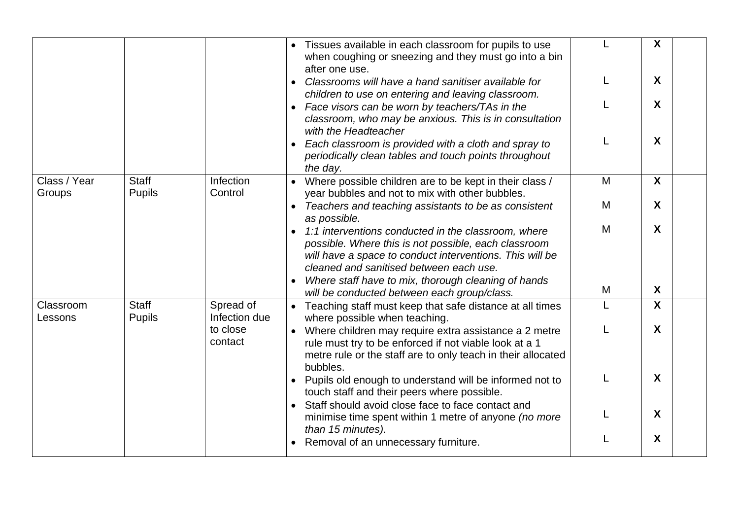|                        |                               |                            | Tissues available in each classroom for pupils to use<br>when coughing or sneezing and they must go into a bin<br>after one use.                                                                                   |   | X                         |
|------------------------|-------------------------------|----------------------------|--------------------------------------------------------------------------------------------------------------------------------------------------------------------------------------------------------------------|---|---------------------------|
|                        |                               |                            | Classrooms will have a hand sanitiser available for<br>children to use on entering and leaving classroom.                                                                                                          |   | X                         |
|                        |                               |                            | Face visors can be worn by teachers/TAs in the<br>classroom, who may be anxious. This is in consultation<br>with the Headteacher                                                                                   |   | $\boldsymbol{X}$          |
|                        |                               |                            | Each classroom is provided with a cloth and spray to<br>periodically clean tables and touch points throughout<br>the day.                                                                                          |   | X                         |
| Class / Year<br>Groups | <b>Staff</b><br><b>Pupils</b> | Infection<br>Control       | Where possible children are to be kept in their class /<br>year bubbles and not to mix with other bubbles.                                                                                                         | M | $\boldsymbol{X}$          |
|                        |                               |                            | Teachers and teaching assistants to be as consistent<br>$\bullet$<br>as possible.                                                                                                                                  | M | X                         |
|                        |                               |                            | 1:1 interventions conducted in the classroom, where<br>possible. Where this is not possible, each classroom<br>will have a space to conduct interventions. This will be<br>cleaned and sanitised between each use. | M | $\boldsymbol{X}$          |
|                        |                               |                            | Where staff have to mix, thorough cleaning of hands<br>will be conducted between each group/class.                                                                                                                 | M | $\boldsymbol{X}$          |
| Classroom<br>Lessons   | <b>Staff</b><br><b>Pupils</b> | Spread of<br>Infection due | • Teaching staff must keep that safe distance at all times<br>where possible when teaching.                                                                                                                        | L | $\boldsymbol{\mathsf{X}}$ |
|                        |                               | to close<br>contact        | Where children may require extra assistance a 2 metre<br>rule must try to be enforced if not viable look at a 1<br>metre rule or the staff are to only teach in their allocated<br>bubbles.                        |   | X                         |
|                        |                               |                            | Pupils old enough to understand will be informed not to<br>touch staff and their peers where possible.<br>Staff should avoid close face to face contact and                                                        |   | $\boldsymbol{X}$          |
|                        |                               |                            | minimise time spent within 1 metre of anyone (no more<br>than 15 minutes).                                                                                                                                         |   | X                         |
|                        |                               |                            | Removal of an unnecessary furniture.                                                                                                                                                                               |   | X                         |
|                        |                               |                            |                                                                                                                                                                                                                    |   |                           |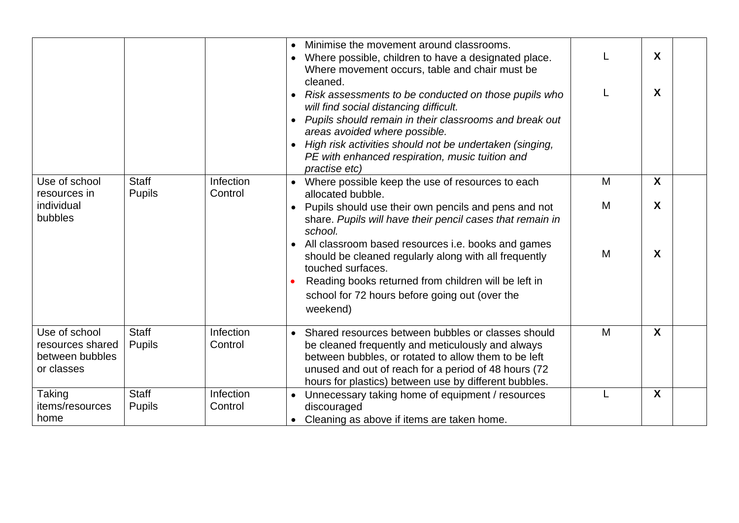|                                                                    |                               |                      | Minimise the movement around classrooms.<br>Where possible, children to have a designated place.<br>Where movement occurs, table and chair must be<br>cleaned.<br>Risk assessments to be conducted on those pupils who<br>will find social distancing difficult.<br>Pupils should remain in their classrooms and break out<br>areas avoided where possible.<br>High risk activities should not be undertaken (singing,<br>PE with enhanced respiration, music tuition and<br><i>practise etc)</i> | L           | $\boldsymbol{X}$<br>X                     |
|--------------------------------------------------------------------|-------------------------------|----------------------|---------------------------------------------------------------------------------------------------------------------------------------------------------------------------------------------------------------------------------------------------------------------------------------------------------------------------------------------------------------------------------------------------------------------------------------------------------------------------------------------------|-------------|-------------------------------------------|
| Use of school<br>resources in<br>individual<br>bubbles             | <b>Staff</b><br><b>Pupils</b> | Infection<br>Control | Where possible keep the use of resources to each<br>allocated bubble.<br>Pupils should use their own pencils and pens and not<br>share. Pupils will have their pencil cases that remain in<br>school.<br>All classroom based resources i.e. books and games<br>should be cleaned regularly along with all frequently<br>touched surfaces.<br>Reading books returned from children will be left in<br>school for 72 hours before going out (over the<br>weekend)                                   | M<br>M<br>M | $\boldsymbol{X}$<br>$\boldsymbol{X}$<br>X |
| Use of school<br>resources shared<br>between bubbles<br>or classes | <b>Staff</b><br><b>Pupils</b> | Infection<br>Control | Shared resources between bubbles or classes should<br>be cleaned frequently and meticulously and always<br>between bubbles, or rotated to allow them to be left<br>unused and out of reach for a period of 48 hours (72<br>hours for plastics) between use by different bubbles.                                                                                                                                                                                                                  | M           | $\boldsymbol{\mathsf{X}}$                 |
| Taking<br>items/resources<br>home                                  | <b>Staff</b><br><b>Pupils</b> | Infection<br>Control | Unnecessary taking home of equipment / resources<br>discouraged<br>Cleaning as above if items are taken home.                                                                                                                                                                                                                                                                                                                                                                                     | L           | $\boldsymbol{X}$                          |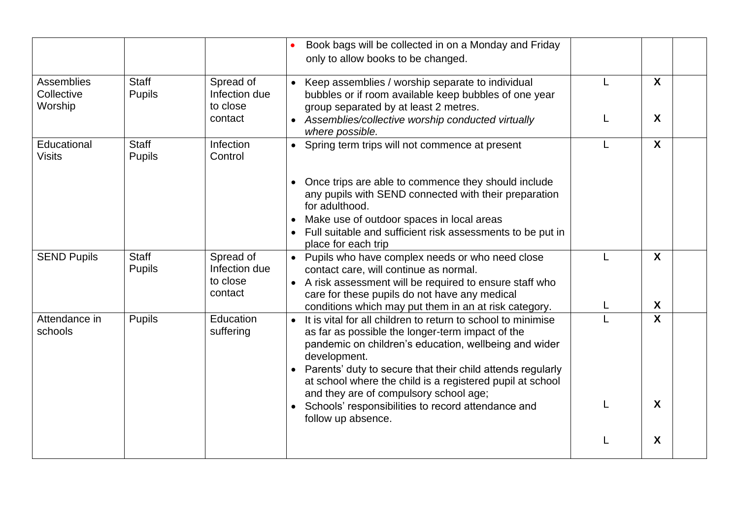|                                     |                               |                                                   | Book bags will be collected in on a Monday and Friday<br>only to allow books to be changed.                                                                                                                                                                                                                                                                    |   |                                      |  |
|-------------------------------------|-------------------------------|---------------------------------------------------|----------------------------------------------------------------------------------------------------------------------------------------------------------------------------------------------------------------------------------------------------------------------------------------------------------------------------------------------------------------|---|--------------------------------------|--|
| Assemblies<br>Collective<br>Worship | <b>Staff</b><br><b>Pupils</b> | Spread of<br>Infection due<br>to close<br>contact | • Keep assemblies / worship separate to individual<br>bubbles or if room available keep bubbles of one year<br>group separated by at least 2 metres.                                                                                                                                                                                                           | L | $\boldsymbol{X}$<br>$\boldsymbol{X}$ |  |
|                                     |                               |                                                   | • Assemblies/collective worship conducted virtually<br>where possible.                                                                                                                                                                                                                                                                                         |   |                                      |  |
| Educational<br><b>Visits</b>        | <b>Staff</b><br><b>Pupils</b> | Infection<br>Control                              | • Spring term trips will not commence at present                                                                                                                                                                                                                                                                                                               |   | $\overline{\mathbf{X}}$              |  |
|                                     |                               |                                                   | • Once trips are able to commence they should include<br>any pupils with SEND connected with their preparation<br>for adulthood.                                                                                                                                                                                                                               |   |                                      |  |
|                                     |                               |                                                   | Make use of outdoor spaces in local areas<br>Full suitable and sufficient risk assessments to be put in<br>place for each trip                                                                                                                                                                                                                                 |   |                                      |  |
| <b>SEND Pupils</b>                  | <b>Staff</b><br><b>Pupils</b> | Spread of<br>Infection due<br>to close<br>contact | • Pupils who have complex needs or who need close<br>contact care, will continue as normal.<br>• A risk assessment will be required to ensure staff who<br>care for these pupils do not have any medical                                                                                                                                                       |   | $\boldsymbol{X}$                     |  |
|                                     |                               |                                                   | conditions which may put them in an at risk category.                                                                                                                                                                                                                                                                                                          |   | $\boldsymbol{X}$                     |  |
| Attendance in<br>schools            | <b>Pupils</b>                 | Education<br>suffering                            | It is vital for all children to return to school to minimise<br>as far as possible the longer-term impact of the<br>pandemic on children's education, wellbeing and wider<br>development.<br>Parents' duty to secure that their child attends regularly<br>at school where the child is a registered pupil at school<br>and they are of compulsory school age; |   | $\mathsf{X}$                         |  |
|                                     |                               |                                                   | • Schools' responsibilities to record attendance and<br>follow up absence.                                                                                                                                                                                                                                                                                     |   | $\boldsymbol{X}$                     |  |
|                                     |                               |                                                   |                                                                                                                                                                                                                                                                                                                                                                |   | X                                    |  |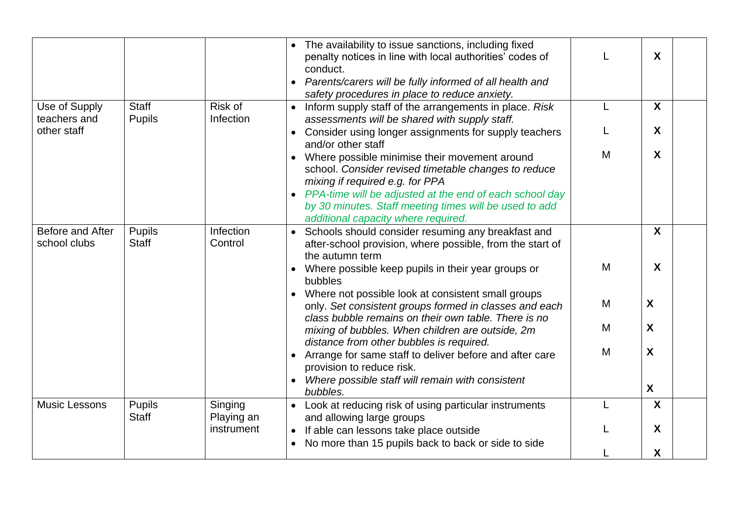|                                  |                               |                       | • The availability to issue sanctions, including fixed<br>penalty notices in line with local authorities' codes of<br>conduct.<br>Parents/carers will be fully informed of all health and<br>safety procedures in place to reduce anxiety.                                                             |   | X                         |
|----------------------------------|-------------------------------|-----------------------|--------------------------------------------------------------------------------------------------------------------------------------------------------------------------------------------------------------------------------------------------------------------------------------------------------|---|---------------------------|
| Use of Supply<br>teachers and    | <b>Staff</b><br><b>Pupils</b> | Risk of<br>Infection  | • Inform supply staff of the arrangements in place. Risk<br>assessments will be shared with supply staff.                                                                                                                                                                                              | L | $\mathsf{X}$              |
| other staff                      |                               |                       | Consider using longer assignments for supply teachers<br>and/or other staff                                                                                                                                                                                                                            |   | X                         |
|                                  |                               |                       | Where possible minimise their movement around<br>school. Consider revised timetable changes to reduce<br>mixing if required e.g. for PPA<br>• PPA-time will be adjusted at the end of each school day<br>by 30 minutes. Staff meeting times will be used to add<br>additional capacity where required. | M | $\boldsymbol{X}$          |
| Before and After<br>school clubs | <b>Pupils</b><br><b>Staff</b> | Infection<br>Control  | • Schools should consider resuming any breakfast and<br>after-school provision, where possible, from the start of<br>the autumn term                                                                                                                                                                   |   | $\boldsymbol{X}$          |
|                                  |                               |                       | Where possible keep pupils in their year groups or<br>bubbles                                                                                                                                                                                                                                          | M | $\boldsymbol{X}$          |
|                                  |                               |                       | • Where not possible look at consistent small groups<br>only. Set consistent groups formed in classes and each                                                                                                                                                                                         | M | X                         |
|                                  |                               |                       | class bubble remains on their own table. There is no<br>mixing of bubbles. When children are outside, 2m<br>distance from other bubbles is required.                                                                                                                                                   | M | X                         |
|                                  |                               |                       | Arrange for same staff to deliver before and after care<br>provision to reduce risk.                                                                                                                                                                                                                   | M | $\boldsymbol{\mathsf{X}}$ |
|                                  |                               |                       | Where possible staff will remain with consistent<br>bubbles.                                                                                                                                                                                                                                           |   | $\boldsymbol{\mathsf{X}}$ |
| <b>Music Lessons</b>             | <b>Pupils</b><br><b>Staff</b> | Singing<br>Playing an | • Look at reducing risk of using particular instruments<br>and allowing large groups                                                                                                                                                                                                                   |   | $\boldsymbol{X}$          |
|                                  |                               | instrument            | If able can lessons take place outside<br>$\bullet$                                                                                                                                                                                                                                                    |   | X                         |
|                                  |                               |                       | No more than 15 pupils back to back or side to side                                                                                                                                                                                                                                                    |   | X                         |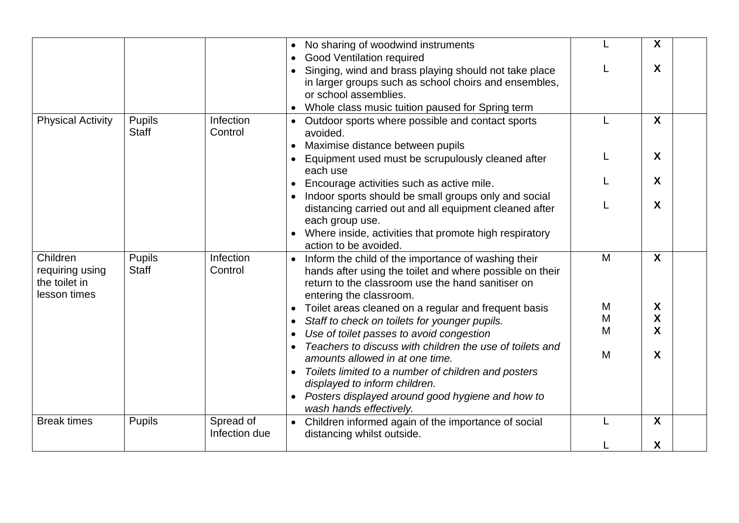|                                                              |                               |                            | No sharing of woodwind instruments<br><b>Good Ventilation required</b>                                                                                                                                               |   | X |  |
|--------------------------------------------------------------|-------------------------------|----------------------------|----------------------------------------------------------------------------------------------------------------------------------------------------------------------------------------------------------------------|---|---|--|
|                                                              |                               |                            | Singing, wind and brass playing should not take place<br>in larger groups such as school choirs and ensembles,<br>or school assemblies.<br>Whole class music tuition paused for Spring term                          |   | X |  |
| <b>Physical Activity</b>                                     | <b>Pupils</b><br><b>Staff</b> | Infection<br>Control       | Outdoor sports where possible and contact sports<br>$\bullet$<br>avoided.<br>Maximise distance between pupils                                                                                                        |   | X |  |
|                                                              |                               |                            | $\bullet$<br>Equipment used must be scrupulously cleaned after<br>each use                                                                                                                                           |   | X |  |
|                                                              |                               |                            | Encourage activities such as active mile.                                                                                                                                                                            |   | X |  |
|                                                              |                               |                            | Indoor sports should be small groups only and social<br>distancing carried out and all equipment cleaned after<br>each group use.<br>Where inside, activities that promote high respiratory<br>action to be avoided. |   | X |  |
| Children<br>requiring using<br>the toilet in<br>lesson times | <b>Pupils</b><br><b>Staff</b> | Infection<br>Control       | Inform the child of the importance of washing their<br>hands after using the toilet and where possible on their<br>return to the classroom use the hand sanitiser on<br>entering the classroom.                      | M | X |  |
|                                                              |                               |                            | Toilet areas cleaned on a regular and frequent basis<br>٠                                                                                                                                                            | M | X |  |
|                                                              |                               |                            | Staff to check on toilets for younger pupils.<br>$\bullet$                                                                                                                                                           | M | X |  |
|                                                              |                               |                            |                                                                                                                                                                                                                      | M | X |  |
|                                                              |                               |                            | Use of toilet passes to avoid congestion                                                                                                                                                                             |   |   |  |
|                                                              |                               |                            | Teachers to discuss with children the use of toilets and<br>amounts allowed in at one time.                                                                                                                          | M | X |  |
|                                                              |                               |                            | Toilets limited to a number of children and posters<br>displayed to inform children.                                                                                                                                 |   |   |  |
|                                                              |                               |                            | Posters displayed around good hygiene and how to<br>wash hands effectively.                                                                                                                                          |   |   |  |
| <b>Break times</b>                                           | Pupils                        | Spread of<br>Infection due | • Children informed again of the importance of social<br>distancing whilst outside.                                                                                                                                  |   | X |  |
|                                                              |                               |                            |                                                                                                                                                                                                                      |   | X |  |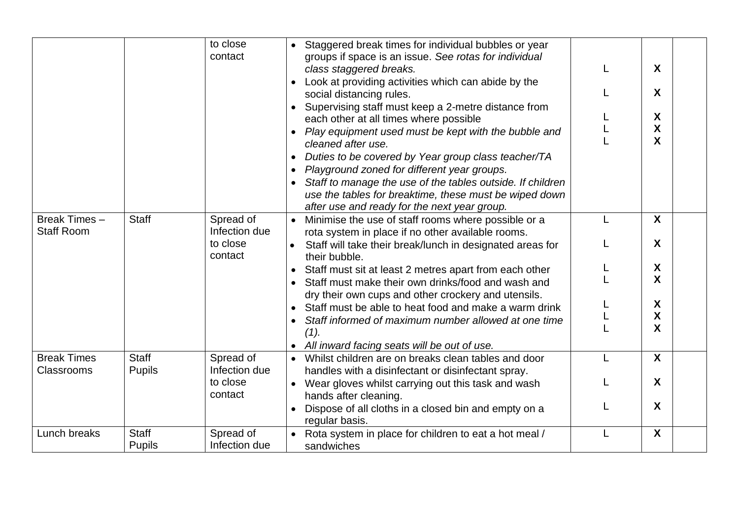| Break Times-                     | <b>Staff</b>                  | to close<br>contact<br>Spread of     | Staggered break times for individual bubbles or year<br>groups if space is an issue. See rotas for individual<br>class staggered breaks.<br>Look at providing activities which can abide by the<br>social distancing rules.<br>Supervising staff must keep a 2-metre distance from<br>each other at all times where possible<br>Play equipment used must be kept with the bubble and<br>cleaned after use.<br>Duties to be covered by Year group class teacher/TA<br>Playground zoned for different year groups.<br>Staff to manage the use of the tables outside. If children<br>use the tables for breaktime, these must be wiped down<br>after use and ready for the next year group.<br>Minimise the use of staff rooms where possible or a | X<br>X<br>X<br>X<br>X<br>$\boldsymbol{\mathsf{X}}$ |  |
|----------------------------------|-------------------------------|--------------------------------------|-------------------------------------------------------------------------------------------------------------------------------------------------------------------------------------------------------------------------------------------------------------------------------------------------------------------------------------------------------------------------------------------------------------------------------------------------------------------------------------------------------------------------------------------------------------------------------------------------------------------------------------------------------------------------------------------------------------------------------------------------|----------------------------------------------------|--|
| <b>Staff Room</b>                |                               | Infection due<br>to close<br>contact | rota system in place if no other available rooms.<br>Staff will take their break/lunch in designated areas for<br>their bubble.<br>Staff must sit at least 2 metres apart from each other<br>Staff must make their own drinks/food and wash and<br>dry their own cups and other crockery and utensils.<br>Staff must be able to heat food and make a warm drink<br>Staff informed of maximum number allowed at one time                                                                                                                                                                                                                                                                                                                         | X<br>X<br>X<br>X<br>X                              |  |
|                                  |                               |                                      | (1).<br>• All inward facing seats will be out of use.                                                                                                                                                                                                                                                                                                                                                                                                                                                                                                                                                                                                                                                                                           | X                                                  |  |
| <b>Break Times</b><br>Classrooms | <b>Staff</b><br><b>Pupils</b> | Spread of<br>Infection due           | Whilst children are on breaks clean tables and door<br>handles with a disinfectant or disinfectant spray.                                                                                                                                                                                                                                                                                                                                                                                                                                                                                                                                                                                                                                       | X                                                  |  |
|                                  |                               | to close<br>contact                  | Wear gloves whilst carrying out this task and wash<br>$\bullet$<br>hands after cleaning.<br>Dispose of all cloths in a closed bin and empty on a<br>regular basis.                                                                                                                                                                                                                                                                                                                                                                                                                                                                                                                                                                              | X<br>X                                             |  |
| Lunch breaks                     | <b>Staff</b><br><b>Pupils</b> | Spread of<br>Infection due           | Rota system in place for children to eat a hot meal /<br>sandwiches                                                                                                                                                                                                                                                                                                                                                                                                                                                                                                                                                                                                                                                                             | X                                                  |  |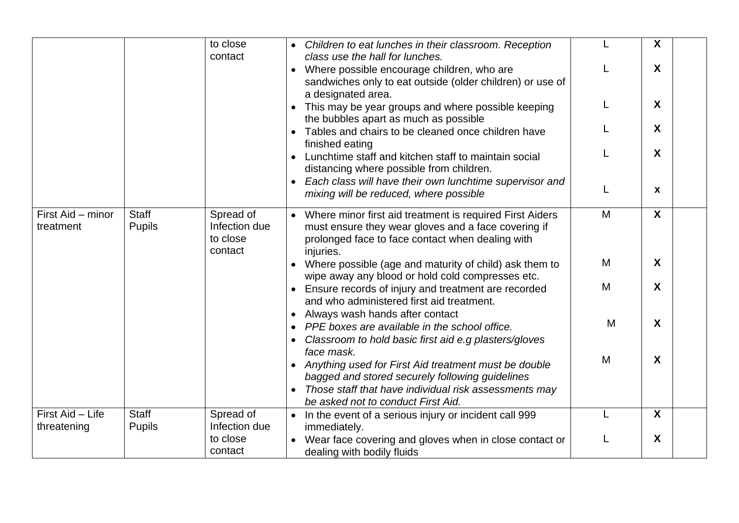|                                 |                               | to close<br>contact                               | • Children to eat lunches in their classroom. Reception<br>class use the hall for lunches.                                                                                                                               |   | X                |
|---------------------------------|-------------------------------|---------------------------------------------------|--------------------------------------------------------------------------------------------------------------------------------------------------------------------------------------------------------------------------|---|------------------|
|                                 |                               |                                                   | Where possible encourage children, who are<br>sandwiches only to eat outside (older children) or use of<br>a designated area.                                                                                            | L | X                |
|                                 |                               |                                                   | • This may be year groups and where possible keeping<br>the bubbles apart as much as possible                                                                                                                            |   | X                |
|                                 |                               |                                                   | • Tables and chairs to be cleaned once children have<br>finished eating                                                                                                                                                  |   | X                |
|                                 |                               |                                                   | Lunchtime staff and kitchen staff to maintain social<br>distancing where possible from children.                                                                                                                         |   | X                |
|                                 |                               |                                                   | • Each class will have their own lunchtime supervisor and<br>mixing will be reduced, where possible                                                                                                                      | L | X                |
| First Aid - minor<br>treatment  | <b>Staff</b><br><b>Pupils</b> | Spread of<br>Infection due<br>to close<br>contact | • Where minor first aid treatment is required First Aiders<br>must ensure they wear gloves and a face covering if<br>prolonged face to face contact when dealing with<br>injuries.                                       | M | X                |
|                                 |                               |                                                   | • Where possible (age and maturity of child) ask them to<br>wipe away any blood or hold cold compresses etc.                                                                                                             | M | X                |
|                                 |                               |                                                   | Ensure records of injury and treatment are recorded<br>and who administered first aid treatment.                                                                                                                         | M | X                |
|                                 |                               |                                                   | Always wash hands after contact<br>PPE boxes are available in the school office.<br>Classroom to hold basic first aid e.g plasters/gloves                                                                                | M | X                |
|                                 |                               |                                                   | face mask.<br>• Anything used for First Aid treatment must be double<br>bagged and stored securely following guidelines<br>• Those staff that have individual risk assessments may<br>be asked not to conduct First Aid. | M | X                |
| First Aid - Life<br>threatening | <b>Staff</b><br><b>Pupils</b> | Spread of<br>Infection due                        | • In the event of a serious injury or incident call 999<br>immediately.                                                                                                                                                  |   | $\boldsymbol{X}$ |
|                                 |                               | to close<br>contact                               | • Wear face covering and gloves when in close contact or<br>dealing with bodily fluids                                                                                                                                   |   | X                |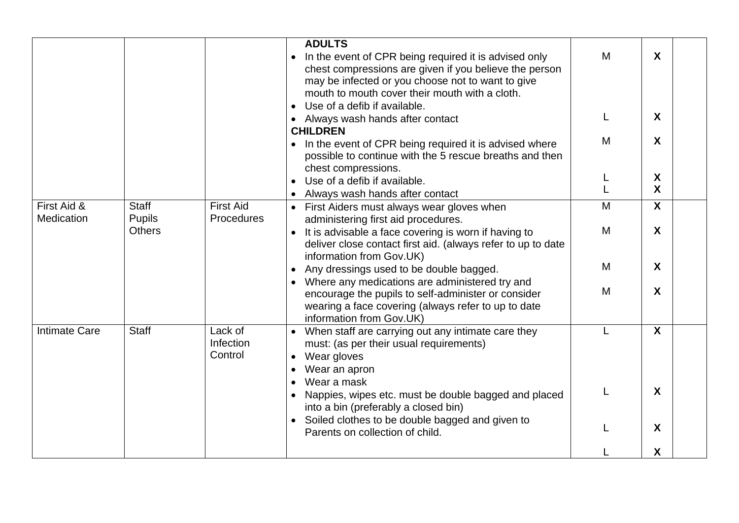|                           |                               |                                 | <b>ADULTS</b><br>In the event of CPR being required it is advised only<br>chest compressions are given if you believe the person<br>may be infected or you choose not to want to give<br>mouth to mouth cover their mouth with a cloth.<br>Use of a defib if available.<br>$\bullet$ | M | X |
|---------------------------|-------------------------------|---------------------------------|--------------------------------------------------------------------------------------------------------------------------------------------------------------------------------------------------------------------------------------------------------------------------------------|---|---|
|                           |                               |                                 | • Always wash hands after contact<br><b>CHILDREN</b>                                                                                                                                                                                                                                 |   | X |
|                           |                               |                                 | In the event of CPR being required it is advised where<br>possible to continue with the 5 rescue breaths and then<br>chest compressions.                                                                                                                                             | M | X |
|                           |                               |                                 |                                                                                                                                                                                                                                                                                      |   | X |
|                           |                               |                                 | Use of a defib if available.                                                                                                                                                                                                                                                         |   | X |
|                           |                               |                                 | Always wash hands after contact                                                                                                                                                                                                                                                      |   |   |
| First Aid &<br>Medication | <b>Staff</b><br><b>Pupils</b> | <b>First Aid</b><br>Procedures  | First Aiders must always wear gloves when<br>$\bullet$<br>administering first aid procedures.                                                                                                                                                                                        | M | X |
|                           | <b>Others</b>                 |                                 | It is advisable a face covering is worn if having to<br>deliver close contact first aid. (always refer to up to date<br>information from Gov.UK)                                                                                                                                     | M | X |
|                           |                               |                                 | Any dressings used to be double bagged.                                                                                                                                                                                                                                              | M | X |
|                           |                               |                                 | Where any medications are administered try and<br>encourage the pupils to self-administer or consider<br>wearing a face covering (always refer to up to date<br>information from Gov.UK)                                                                                             | M | X |
| <b>Intimate Care</b>      | <b>Staff</b>                  | Lack of<br>Infection<br>Control | When staff are carrying out any intimate care they<br>must: (as per their usual requirements)<br>Wear gloves<br>Wear an apron                                                                                                                                                        |   | X |
|                           |                               |                                 | Wear a mask<br>Nappies, wipes etc. must be double bagged and placed<br>into a bin (preferably a closed bin)                                                                                                                                                                          |   | X |
|                           |                               |                                 | Soiled clothes to be double bagged and given to<br>Parents on collection of child.                                                                                                                                                                                                   |   | X |
|                           |                               |                                 |                                                                                                                                                                                                                                                                                      |   | X |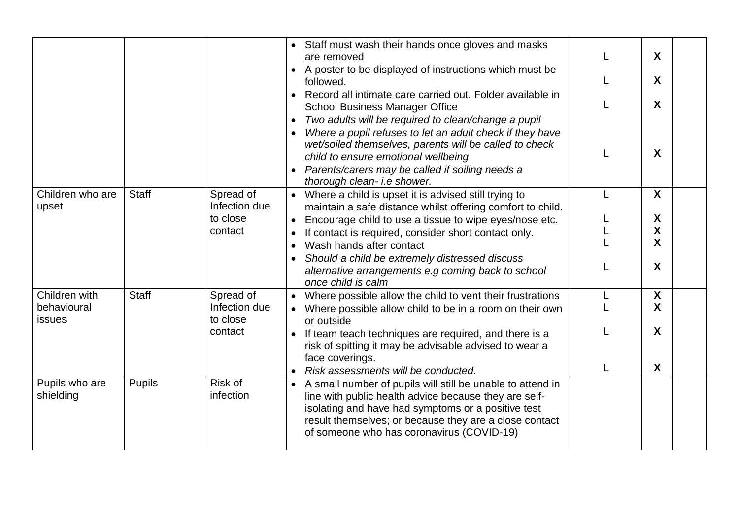|                                        |               |                                                   | Staff must wash their hands once gloves and masks<br>are removed<br>A poster to be displayed of instructions which must be<br>$\bullet$<br>followed.<br>Record all intimate care carried out. Folder available in<br><b>School Business Manager Office</b><br>Two adults will be required to clean/change a pupil<br>$\bullet$<br>Where a pupil refuses to let an adult check if they have<br>wet/soiled themselves, parents will be called to check<br>child to ensure emotional wellbeing<br>Parents/carers may be called if soiling needs a<br>$\bullet$<br>thorough clean- i.e shower. |   | X<br>X<br>X<br>$\boldsymbol{X}$ |  |
|----------------------------------------|---------------|---------------------------------------------------|--------------------------------------------------------------------------------------------------------------------------------------------------------------------------------------------------------------------------------------------------------------------------------------------------------------------------------------------------------------------------------------------------------------------------------------------------------------------------------------------------------------------------------------------------------------------------------------------|---|---------------------------------|--|
| Children who are<br>upset              | <b>Staff</b>  | Spread of<br>Infection due<br>to close<br>contact | • Where a child is upset it is advised still trying to<br>maintain a safe distance whilst offering comfort to child.<br>Encourage child to use a tissue to wipe eyes/nose etc.<br>If contact is required, consider short contact only.<br>$\bullet$<br>Wash hands after contact<br>$\bullet$<br>Should a child be extremely distressed discuss<br>alternative arrangements e.g coming back to school<br>once child is calm                                                                                                                                                                 | L | X<br>X<br>X<br>X<br>X           |  |
| Children with<br>behavioural<br>issues | <b>Staff</b>  | Spread of<br>Infection due<br>to close<br>contact | Where possible allow the child to vent their frustrations<br>• Where possible allow child to be in a room on their own<br>or outside<br>If team teach techniques are required, and there is a<br>risk of spitting it may be advisable advised to wear a<br>face coverings.<br>Risk assessments will be conducted.                                                                                                                                                                                                                                                                          | L | X<br>$\mathbf{X}$<br>X<br>X     |  |
| Pupils who are<br>shielding            | <b>Pupils</b> | Risk of<br>infection                              | • A small number of pupils will still be unable to attend in<br>line with public health advice because they are self-<br>isolating and have had symptoms or a positive test<br>result themselves; or because they are a close contact<br>of someone who has coronavirus (COVID-19)                                                                                                                                                                                                                                                                                                         |   |                                 |  |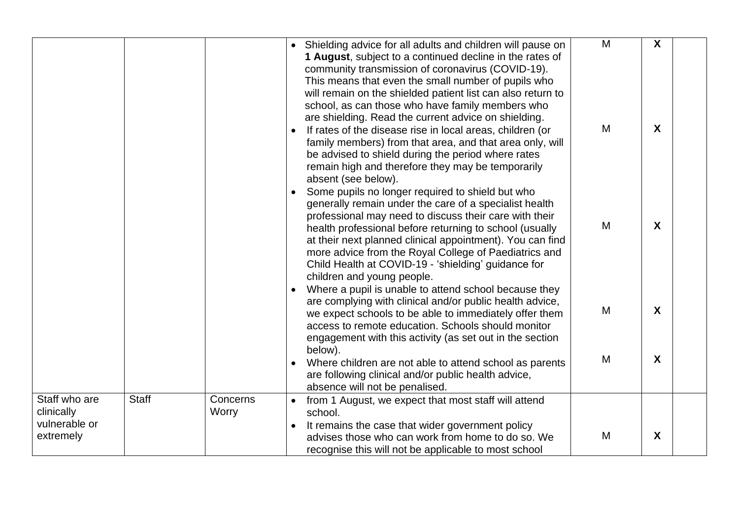|                                                           |              |                   |                        | • Shielding advice for all adults and children will pause on<br>1 August, subject to a continued decline in the rates of<br>community transmission of coronavirus (COVID-19).<br>This means that even the small number of pupils who<br>will remain on the shielded patient list can also return to<br>school, as can those who have family members who<br>are shielding. Read the current advice on shielding.<br>If rates of the disease rise in local areas, children (or<br>family members) from that area, and that area only, will<br>be advised to shield during the period where rates<br>remain high and therefore they may be temporarily | M<br>M | X<br>$\boldsymbol{X}$ |  |
|-----------------------------------------------------------|--------------|-------------------|------------------------|-----------------------------------------------------------------------------------------------------------------------------------------------------------------------------------------------------------------------------------------------------------------------------------------------------------------------------------------------------------------------------------------------------------------------------------------------------------------------------------------------------------------------------------------------------------------------------------------------------------------------------------------------------|--------|-----------------------|--|
|                                                           |              |                   |                        | absent (see below).<br>Some pupils no longer required to shield but who<br>generally remain under the care of a specialist health<br>professional may need to discuss their care with their<br>health professional before returning to school (usually<br>at their next planned clinical appointment). You can find<br>more advice from the Royal College of Paediatrics and<br>Child Health at COVID-19 - 'shielding' guidance for<br>children and young people.<br>Where a pupil is unable to attend school because they                                                                                                                          | M      | X                     |  |
|                                                           |              |                   |                        | are complying with clinical and/or public health advice,<br>we expect schools to be able to immediately offer them<br>access to remote education. Schools should monitor<br>engagement with this activity (as set out in the section<br>below).                                                                                                                                                                                                                                                                                                                                                                                                     | M      | $\boldsymbol{X}$      |  |
|                                                           |              |                   |                        | Where children are not able to attend school as parents<br>are following clinical and/or public health advice,<br>absence will not be penalised.                                                                                                                                                                                                                                                                                                                                                                                                                                                                                                    | M      | $\boldsymbol{X}$      |  |
| Staff who are<br>clinically<br>vulnerable or<br>extremely | <b>Staff</b> | Concerns<br>Worry | $\bullet$<br>$\bullet$ | from 1 August, we expect that most staff will attend<br>school.<br>It remains the case that wider government policy<br>advises those who can work from home to do so. We<br>recognise this will not be applicable to most school                                                                                                                                                                                                                                                                                                                                                                                                                    | M      | X                     |  |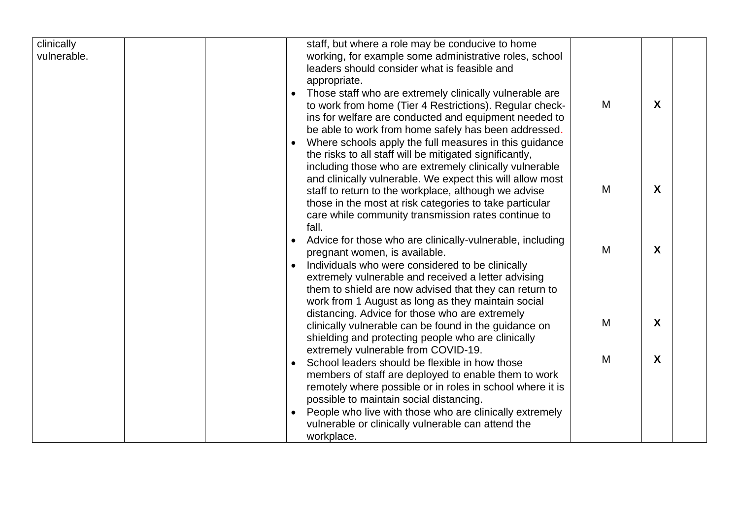| clinically  |  |           | staff, but where a role may be conducive to home          |   |                  |  |
|-------------|--|-----------|-----------------------------------------------------------|---|------------------|--|
| vulnerable. |  |           | working, for example some administrative roles, school    |   |                  |  |
|             |  |           | leaders should consider what is feasible and              |   |                  |  |
|             |  |           | appropriate.                                              |   |                  |  |
|             |  | $\bullet$ | Those staff who are extremely clinically vulnerable are   |   |                  |  |
|             |  |           | to work from home (Tier 4 Restrictions). Regular check-   | M | $\mathbf{X}$     |  |
|             |  |           |                                                           |   |                  |  |
|             |  |           | ins for welfare are conducted and equipment needed to     |   |                  |  |
|             |  |           | be able to work from home safely has been addressed.      |   |                  |  |
|             |  | $\bullet$ | Where schools apply the full measures in this guidance    |   |                  |  |
|             |  |           | the risks to all staff will be mitigated significantly,   |   |                  |  |
|             |  |           | including those who are extremely clinically vulnerable   |   |                  |  |
|             |  |           | and clinically vulnerable. We expect this will allow most |   |                  |  |
|             |  |           | staff to return to the workplace, although we advise      | M | X                |  |
|             |  |           | those in the most at risk categories to take particular   |   |                  |  |
|             |  |           | care while community transmission rates continue to       |   |                  |  |
|             |  |           | fall.                                                     |   |                  |  |
|             |  | $\bullet$ | Advice for those who are clinically-vulnerable, including |   |                  |  |
|             |  |           | pregnant women, is available.                             | M | $\boldsymbol{X}$ |  |
|             |  |           | Individuals who were considered to be clinically          |   |                  |  |
|             |  |           | extremely vulnerable and received a letter advising       |   |                  |  |
|             |  |           | them to shield are now advised that they can return to    |   |                  |  |
|             |  |           | work from 1 August as long as they maintain social        |   |                  |  |
|             |  |           | distancing. Advice for those who are extremely            |   |                  |  |
|             |  |           | clinically vulnerable can be found in the guidance on     | M | $\mathsf{X}$     |  |
|             |  |           | shielding and protecting people who are clinically        |   |                  |  |
|             |  |           | extremely vulnerable from COVID-19.                       |   |                  |  |
|             |  |           | School leaders should be flexible in how those            | M | X                |  |
|             |  |           |                                                           |   |                  |  |
|             |  |           | members of staff are deployed to enable them to work      |   |                  |  |
|             |  |           | remotely where possible or in roles in school where it is |   |                  |  |
|             |  |           | possible to maintain social distancing.                   |   |                  |  |
|             |  |           | People who live with those who are clinically extremely   |   |                  |  |
|             |  |           | vulnerable or clinically vulnerable can attend the        |   |                  |  |
|             |  |           | workplace.                                                |   |                  |  |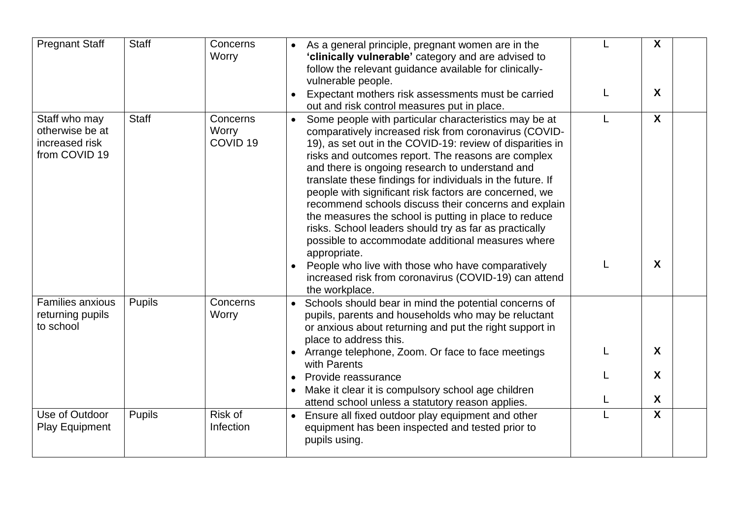| <b>Pregnant Staff</b>                                               | <b>Staff</b>  | Concerns<br>Worry                        | As a general principle, pregnant women are in the<br>'clinically vulnerable' category and are advised to<br>follow the relevant guidance available for clinically-<br>vulnerable people.<br>Expectant mothers risk assessments must be carried                                                                                                                                                                                                                                                                                                                                                                                                                                                                           |   | X<br>X                    |
|---------------------------------------------------------------------|---------------|------------------------------------------|--------------------------------------------------------------------------------------------------------------------------------------------------------------------------------------------------------------------------------------------------------------------------------------------------------------------------------------------------------------------------------------------------------------------------------------------------------------------------------------------------------------------------------------------------------------------------------------------------------------------------------------------------------------------------------------------------------------------------|---|---------------------------|
| Staff who may<br>otherwise be at<br>increased risk<br>from COVID 19 | <b>Staff</b>  | Concerns<br>Worry<br>COVID <sub>19</sub> | out and risk control measures put in place.<br>Some people with particular characteristics may be at<br>$\bullet$<br>comparatively increased risk from coronavirus (COVID-<br>19), as set out in the COVID-19: review of disparities in<br>risks and outcomes report. The reasons are complex<br>and there is ongoing research to understand and<br>translate these findings for individuals in the future. If<br>people with significant risk factors are concerned, we<br>recommend schools discuss their concerns and explain<br>the measures the school is putting in place to reduce<br>risks. School leaders should try as far as practically<br>possible to accommodate additional measures where<br>appropriate. | L | $\boldsymbol{X}$          |
|                                                                     |               |                                          | People who live with those who have comparatively<br>increased risk from coronavirus (COVID-19) can attend<br>the workplace.                                                                                                                                                                                                                                                                                                                                                                                                                                                                                                                                                                                             |   | X                         |
| <b>Families anxious</b><br>returning pupils<br>to school            | <b>Pupils</b> | Concerns<br>Worry                        | • Schools should bear in mind the potential concerns of<br>pupils, parents and households who may be reluctant<br>or anxious about returning and put the right support in<br>place to address this.                                                                                                                                                                                                                                                                                                                                                                                                                                                                                                                      |   |                           |
|                                                                     |               |                                          | • Arrange telephone, Zoom. Or face to face meetings<br>with Parents                                                                                                                                                                                                                                                                                                                                                                                                                                                                                                                                                                                                                                                      |   | $\boldsymbol{X}$          |
|                                                                     |               |                                          | Provide reassurance<br>Make it clear it is compulsory school age children                                                                                                                                                                                                                                                                                                                                                                                                                                                                                                                                                                                                                                                |   | X                         |
|                                                                     |               |                                          | attend school unless a statutory reason applies.                                                                                                                                                                                                                                                                                                                                                                                                                                                                                                                                                                                                                                                                         |   | X                         |
| Use of Outdoor<br><b>Play Equipment</b>                             | <b>Pupils</b> | Risk of<br>Infection                     | Ensure all fixed outdoor play equipment and other<br>$\bullet$<br>equipment has been inspected and tested prior to<br>pupils using.                                                                                                                                                                                                                                                                                                                                                                                                                                                                                                                                                                                      |   | $\boldsymbol{\mathsf{X}}$ |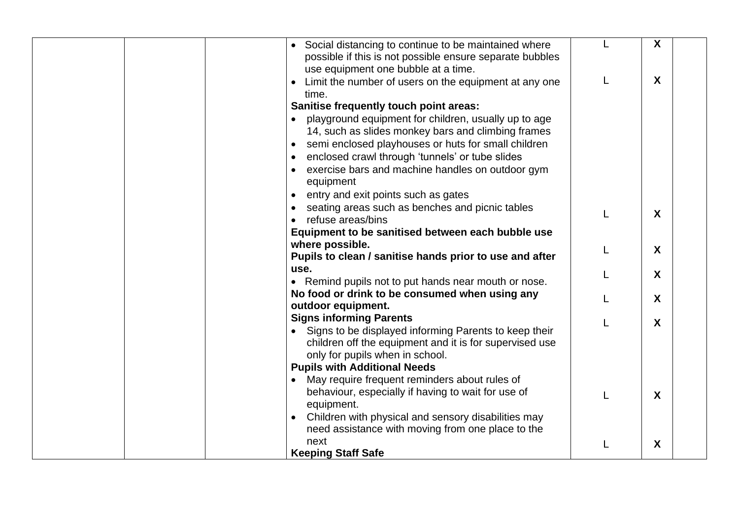| • Social distancing to continue to be maintained where<br>possible if this is not possible ensure separate bubbles<br>use equipment one bubble at a time. |   | X                |
|-----------------------------------------------------------------------------------------------------------------------------------------------------------|---|------------------|
| Limit the number of users on the equipment at any one<br>time.                                                                                            | L | X                |
| Sanitise frequently touch point areas:                                                                                                                    |   |                  |
| playground equipment for children, usually up to age                                                                                                      |   |                  |
| 14, such as slides monkey bars and climbing frames                                                                                                        |   |                  |
| semi enclosed playhouses or huts for small children<br>$\bullet$                                                                                          |   |                  |
| enclosed crawl through 'tunnels' or tube slides                                                                                                           |   |                  |
| exercise bars and machine handles on outdoor gym<br>equipment                                                                                             |   |                  |
| entry and exit points such as gates<br>$\bullet$                                                                                                          |   |                  |
| seating areas such as benches and picnic tables                                                                                                           |   |                  |
| refuse areas/bins                                                                                                                                         |   | X                |
| Equipment to be sanitised between each bubble use                                                                                                         |   |                  |
| where possible.                                                                                                                                           |   | $\boldsymbol{X}$ |
| Pupils to clean / sanitise hands prior to use and after                                                                                                   |   |                  |
| use.                                                                                                                                                      |   | $\boldsymbol{X}$ |
| • Remind pupils not to put hands near mouth or nose.                                                                                                      |   |                  |
| No food or drink to be consumed when using any                                                                                                            |   | X                |
| outdoor equipment.                                                                                                                                        |   |                  |
| <b>Signs informing Parents</b>                                                                                                                            |   | X                |
| • Signs to be displayed informing Parents to keep their                                                                                                   |   |                  |
| children off the equipment and it is for supervised use                                                                                                   |   |                  |
| only for pupils when in school.                                                                                                                           |   |                  |
| <b>Pupils with Additional Needs</b>                                                                                                                       |   |                  |
| May require frequent reminders about rules of                                                                                                             |   |                  |
| behaviour, especially if having to wait for use of<br>equipment.                                                                                          | L | $\boldsymbol{X}$ |
| Children with physical and sensory disabilities may                                                                                                       |   |                  |
| need assistance with moving from one place to the                                                                                                         |   |                  |
| next                                                                                                                                                      |   | X                |
| <b>Keeping Staff Safe</b>                                                                                                                                 |   |                  |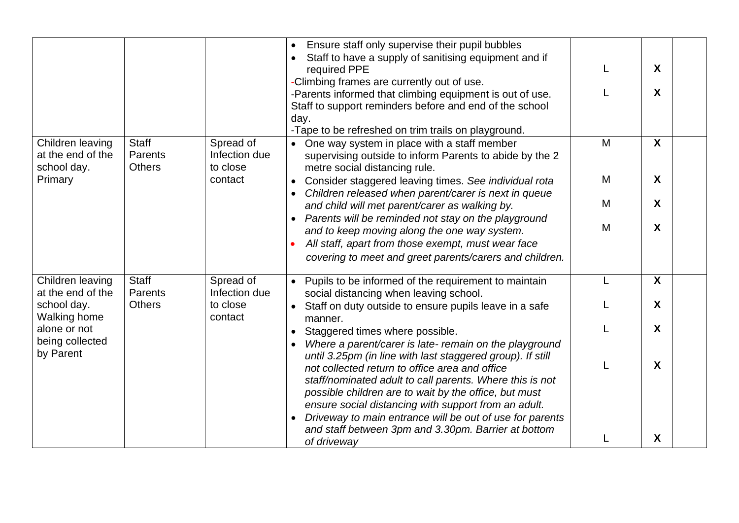|                                                      |                                          |                                        | Ensure staff only supervise their pupil bubbles<br>Staff to have a supply of sanitising equipment and if<br>required PPE<br>-Climbing frames are currently out of use.                                                                                                                                                                         |        | $\boldsymbol{X}$<br>X |  |
|------------------------------------------------------|------------------------------------------|----------------------------------------|------------------------------------------------------------------------------------------------------------------------------------------------------------------------------------------------------------------------------------------------------------------------------------------------------------------------------------------------|--------|-----------------------|--|
|                                                      |                                          |                                        | -Parents informed that climbing equipment is out of use.<br>Staff to support reminders before and end of the school<br>day.<br>-Tape to be refreshed on trim trails on playground.                                                                                                                                                             |        |                       |  |
| Children leaving<br>at the end of the<br>school day. | <b>Staff</b><br>Parents<br><b>Others</b> | Spread of<br>Infection due<br>to close | • One way system in place with a staff member<br>supervising outside to inform Parents to abide by the 2<br>metre social distancing rule.                                                                                                                                                                                                      | M      | $\boldsymbol{X}$      |  |
| Primary                                              |                                          | contact                                | Consider staggered leaving times. See individual rota<br>Children released when parent/carer is next in queue<br>and child will met parent/carer as walking by.                                                                                                                                                                                | M<br>M | X<br>X                |  |
|                                                      |                                          |                                        | Parents will be reminded not stay on the playground<br>and to keep moving along the one way system.<br>All staff, apart from those exempt, must wear face<br>covering to meet and greet parents/carers and children.                                                                                                                           | M      | $\boldsymbol{X}$      |  |
| Children leaving<br>at the end of the                | <b>Staff</b><br>Parents                  | Spread of<br>Infection due             | Pupils to be informed of the requirement to maintain<br>$\bullet$<br>social distancing when leaving school.                                                                                                                                                                                                                                    | L      | $\boldsymbol{X}$      |  |
| school day.<br><b>Walking home</b>                   | <b>Others</b>                            | to close<br>contact                    | Staff on duty outside to ensure pupils leave in a safe<br>manner.                                                                                                                                                                                                                                                                              |        | $\boldsymbol{X}$      |  |
| alone or not<br>being collected<br>by Parent         |                                          |                                        | Staggered times where possible.<br>Where a parent/carer is late- remain on the playground<br>until 3.25pm (in line with last staggered group). If still                                                                                                                                                                                        |        | $\boldsymbol{X}$      |  |
|                                                      |                                          |                                        | not collected return to office area and office<br>staff/nominated adult to call parents. Where this is not<br>possible children are to wait by the office, but must<br>ensure social distancing with support from an adult.<br>Driveway to main entrance will be out of use for parents<br>and staff between 3pm and 3.30pm. Barrier at bottom |        | X                     |  |
|                                                      |                                          |                                        | of driveway                                                                                                                                                                                                                                                                                                                                    |        | X                     |  |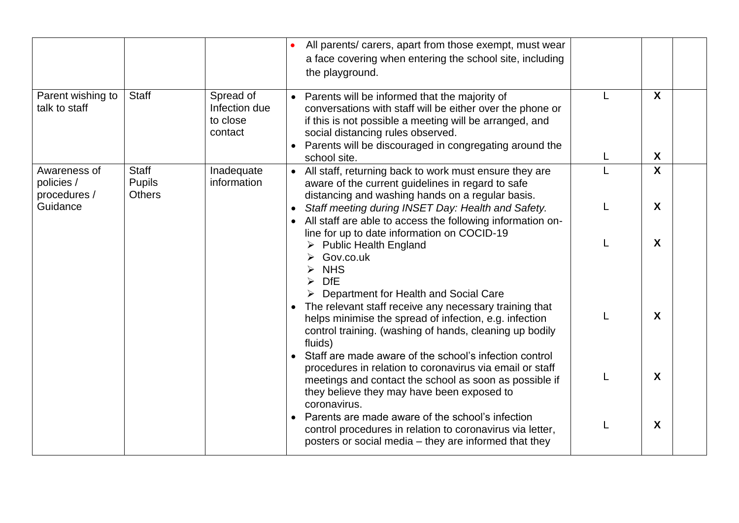|                                                        |                                                |                                                   | All parents/ carers, apart from those exempt, must wear<br>a face covering when entering the school site, including<br>the playground.                                                                                                                                                                                                            |   |                       |  |
|--------------------------------------------------------|------------------------------------------------|---------------------------------------------------|---------------------------------------------------------------------------------------------------------------------------------------------------------------------------------------------------------------------------------------------------------------------------------------------------------------------------------------------------|---|-----------------------|--|
| Parent wishing to<br>talk to staff                     | <b>Staff</b>                                   | Spread of<br>Infection due<br>to close<br>contact | • Parents will be informed that the majority of<br>conversations with staff will be either over the phone or<br>if this is not possible a meeting will be arranged, and<br>social distancing rules observed.<br>Parents will be discouraged in congregating around the<br>$\bullet$<br>school site.                                               | L | $\mathsf{X}$<br>X     |  |
| Awareness of<br>policies /<br>procedures /<br>Guidance | <b>Staff</b><br><b>Pupils</b><br><b>Others</b> | Inadequate<br>information                         | • All staff, returning back to work must ensure they are<br>aware of the current guidelines in regard to safe<br>distancing and washing hands on a regular basis.<br>Staff meeting during INSET Day: Health and Safety.<br>$\bullet$<br>All staff are able to access the following information on-<br>line for up to date information on COCID-19 |   | $\boldsymbol{X}$<br>X |  |
|                                                        |                                                |                                                   | <b>Public Health England</b><br>Gov.co.uk<br><b>NHS</b><br><b>DfE</b><br>Department for Health and Social Care<br>The relevant staff receive any necessary training that<br>$\bullet$<br>helps minimise the spread of infection, e.g. infection<br>control training. (washing of hands, cleaning up bodily                                        |   | X<br>X                |  |
|                                                        |                                                |                                                   | fluids)<br>Staff are made aware of the school's infection control<br>procedures in relation to coronavirus via email or staff<br>meetings and contact the school as soon as possible if<br>they believe they may have been exposed to<br>coronavirus.                                                                                             |   | X                     |  |
|                                                        |                                                |                                                   | Parents are made aware of the school's infection<br>control procedures in relation to coronavirus via letter,<br>posters or social media – they are informed that they                                                                                                                                                                            |   | X                     |  |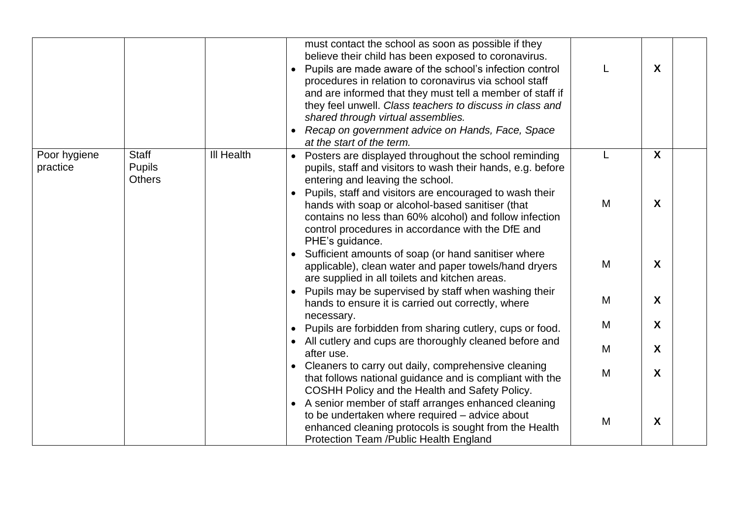|                          |                                                |                   |                        | must contact the school as soon as possible if they<br>believe their child has been exposed to coronavirus.<br>Pupils are made aware of the school's infection control<br>procedures in relation to coronavirus via school staff<br>and are informed that they must tell a member of staff if<br>they feel unwell. Class teachers to discuss in class and<br>shared through virtual assemblies.<br>Recap on government advice on Hands, Face, Space<br>at the start of the term. |        | $\mathsf{X}$      |  |
|--------------------------|------------------------------------------------|-------------------|------------------------|----------------------------------------------------------------------------------------------------------------------------------------------------------------------------------------------------------------------------------------------------------------------------------------------------------------------------------------------------------------------------------------------------------------------------------------------------------------------------------|--------|-------------------|--|
| Poor hygiene<br>practice | <b>Staff</b><br><b>Pupils</b><br><b>Others</b> | <b>III Health</b> | $\bullet$<br>$\bullet$ | Posters are displayed throughout the school reminding<br>pupils, staff and visitors to wash their hands, e.g. before<br>entering and leaving the school.<br>Pupils, staff and visitors are encouraged to wash their<br>hands with soap or alcohol-based sanitiser (that<br>contains no less than 60% alcohol) and follow infection<br>control procedures in accordance with the DfE and<br>PHE's guidance.                                                                       | L<br>M | $\mathsf{X}$<br>X |  |
|                          |                                                |                   |                        | Sufficient amounts of soap (or hand sanitiser where<br>applicable), clean water and paper towels/hand dryers<br>are supplied in all toilets and kitchen areas.                                                                                                                                                                                                                                                                                                                   | M      | X                 |  |
|                          |                                                |                   | $\bullet$              | Pupils may be supervised by staff when washing their<br>hands to ensure it is carried out correctly, where<br>necessary.                                                                                                                                                                                                                                                                                                                                                         | M      | $\boldsymbol{X}$  |  |
|                          |                                                |                   | $\bullet$              | Pupils are forbidden from sharing cutlery, cups or food.                                                                                                                                                                                                                                                                                                                                                                                                                         | M      | X                 |  |
|                          |                                                |                   |                        | All cutlery and cups are thoroughly cleaned before and<br>after use.                                                                                                                                                                                                                                                                                                                                                                                                             | M      | $\mathsf{X}$      |  |
|                          |                                                |                   |                        | Cleaners to carry out daily, comprehensive cleaning<br>that follows national guidance and is compliant with the<br>COSHH Policy and the Health and Safety Policy.                                                                                                                                                                                                                                                                                                                | M      | X                 |  |
|                          |                                                |                   |                        | A senior member of staff arranges enhanced cleaning<br>to be undertaken where required - advice about<br>enhanced cleaning protocols is sought from the Health<br><b>Protection Team /Public Health England</b>                                                                                                                                                                                                                                                                  | M      | X                 |  |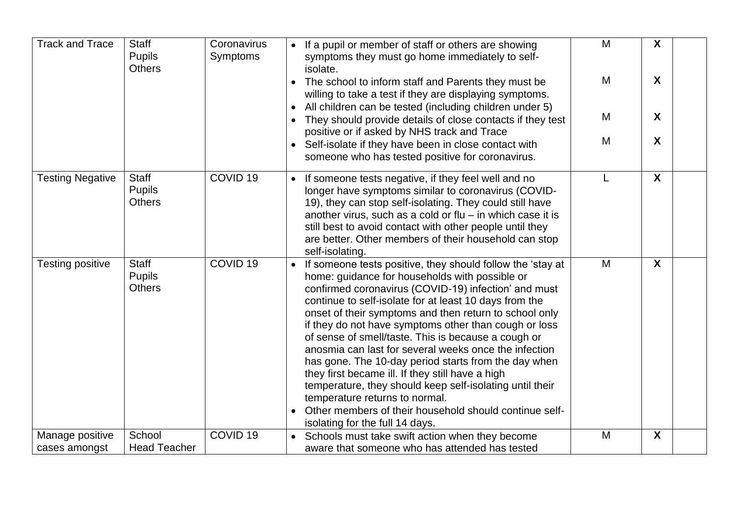| <b>Track and Trace</b>           | <b>Staff</b><br><b>Pupils</b><br><b>Others</b> | Coronavirus<br>Symptoms | M<br>• If a pupil or member of staff or others are showing<br>symptoms they must go home immediately to self-<br>isolate.                                                                                                                                                                                                                                                                                                                                                                                                                                                                                                                                                                                                                                                     | X |  |
|----------------------------------|------------------------------------------------|-------------------------|-------------------------------------------------------------------------------------------------------------------------------------------------------------------------------------------------------------------------------------------------------------------------------------------------------------------------------------------------------------------------------------------------------------------------------------------------------------------------------------------------------------------------------------------------------------------------------------------------------------------------------------------------------------------------------------------------------------------------------------------------------------------------------|---|--|
|                                  |                                                |                         | M<br>The school to inform staff and Parents they must be<br>willing to take a test if they are displaying symptoms.                                                                                                                                                                                                                                                                                                                                                                                                                                                                                                                                                                                                                                                           | X |  |
|                                  |                                                |                         | All children can be tested (including children under 5)<br>M<br>They should provide details of close contacts if they test<br>$\bullet$                                                                                                                                                                                                                                                                                                                                                                                                                                                                                                                                                                                                                                       | X |  |
|                                  |                                                |                         | positive or if asked by NHS track and Trace<br>M<br>• Self-isolate if they have been in close contact with<br>someone who has tested positive for coronavirus.                                                                                                                                                                                                                                                                                                                                                                                                                                                                                                                                                                                                                | X |  |
| <b>Testing Negative</b>          | <b>Staff</b><br><b>Pupils</b><br><b>Others</b> | COVID <sub>19</sub>     | If someone tests negative, if they feel well and no<br>L<br>$\bullet$<br>longer have symptoms similar to coronavirus (COVID-<br>19), they can stop self-isolating. They could still have<br>another virus, such as a cold or $flu - in$ which case it is<br>still best to avoid contact with other people until they<br>are better. Other members of their household can stop<br>self-isolating.                                                                                                                                                                                                                                                                                                                                                                              | X |  |
| Testing positive                 | <b>Staff</b><br><b>Pupils</b><br><b>Others</b> | COVID <sub>19</sub>     | M<br>If someone tests positive, they should follow the 'stay at<br>home: guidance for households with possible or<br>confirmed coronavirus (COVID-19) infection' and must<br>continue to self-isolate for at least 10 days from the<br>onset of their symptoms and then return to school only<br>if they do not have symptoms other than cough or loss<br>of sense of smell/taste. This is because a cough or<br>anosmia can last for several weeks once the infection<br>has gone. The 10-day period starts from the day when<br>they first became ill. If they still have a high<br>temperature, they should keep self-isolating until their<br>temperature returns to normal.<br>Other members of their household should continue self-<br>isolating for the full 14 days. | X |  |
| Manage positive<br>cases amongst | School<br><b>Head Teacher</b>                  | COVID <sub>19</sub>     | M<br>Schools must take swift action when they become<br>$\bullet$<br>aware that someone who has attended has tested                                                                                                                                                                                                                                                                                                                                                                                                                                                                                                                                                                                                                                                           | X |  |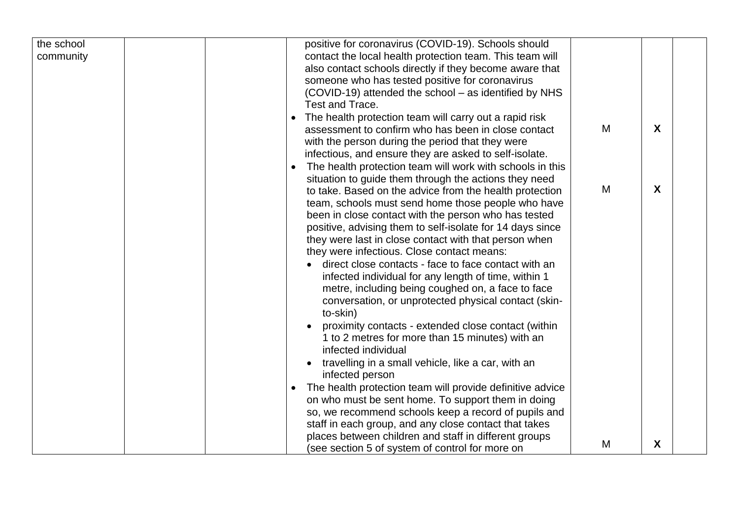| the school | positive for coronavirus (COVID-19). Schools should       |   |   |  |
|------------|-----------------------------------------------------------|---|---|--|
| community  | contact the local health protection team. This team will  |   |   |  |
|            | also contact schools directly if they become aware that   |   |   |  |
|            | someone who has tested positive for coronavirus           |   |   |  |
|            | (COVID-19) attended the school – as identified by NHS     |   |   |  |
|            | Test and Trace.                                           |   |   |  |
|            | The health protection team will carry out a rapid risk    |   |   |  |
|            | assessment to confirm who has been in close contact       | M | X |  |
|            | with the person during the period that they were          |   |   |  |
|            | infectious, and ensure they are asked to self-isolate.    |   |   |  |
|            | The health protection team will work with schools in this |   |   |  |
|            | situation to guide them through the actions they need     |   |   |  |
|            | to take. Based on the advice from the health protection   | M | X |  |
|            | team, schools must send home those people who have        |   |   |  |
|            | been in close contact with the person who has tested      |   |   |  |
|            | positive, advising them to self-isolate for 14 days since |   |   |  |
|            | they were last in close contact with that person when     |   |   |  |
|            | they were infectious. Close contact means:                |   |   |  |
|            | direct close contacts - face to face contact with an      |   |   |  |
|            | infected individual for any length of time, within 1      |   |   |  |
|            | metre, including being coughed on, a face to face         |   |   |  |
|            | conversation, or unprotected physical contact (skin-      |   |   |  |
|            | to-skin)                                                  |   |   |  |
|            | proximity contacts - extended close contact (within       |   |   |  |
|            | 1 to 2 metres for more than 15 minutes) with an           |   |   |  |
|            | infected individual                                       |   |   |  |
|            | travelling in a small vehicle, like a car, with an        |   |   |  |
|            | infected person                                           |   |   |  |
|            | The health protection team will provide definitive advice |   |   |  |
|            | on who must be sent home. To support them in doing        |   |   |  |
|            | so, we recommend schools keep a record of pupils and      |   |   |  |
|            | staff in each group, and any close contact that takes     |   |   |  |
|            | places between children and staff in different groups     |   |   |  |
|            | (see section 5 of system of control for more on           | M | X |  |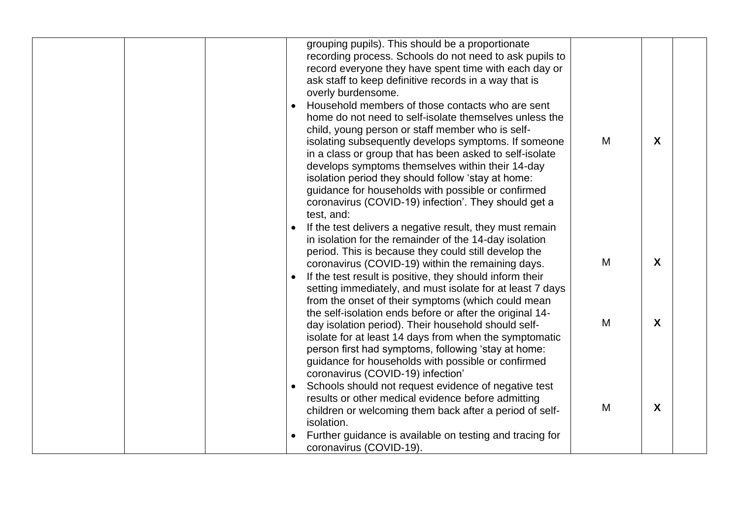|  |           | grouping pupils). This should be a proportionate<br>recording process. Schools do not need to ask pupils to<br>record everyone they have spent time with each day or<br>ask staff to keep definitive records in a way that is<br>overly burdensome.<br>Household members of those contacts who are sent<br>home do not need to self-isolate themselves unless the<br>child, young person or staff member who is self-<br>isolating subsequently develops symptoms. If someone<br>in a class or group that has been asked to self-isolate<br>develops symptoms themselves within their 14-day<br>isolation period they should follow 'stay at home:<br>guidance for households with possible or confirmed<br>coronavirus (COVID-19) infection'. They should get a<br>test, and: | M | $\boldsymbol{X}$ |  |
|--|-----------|--------------------------------------------------------------------------------------------------------------------------------------------------------------------------------------------------------------------------------------------------------------------------------------------------------------------------------------------------------------------------------------------------------------------------------------------------------------------------------------------------------------------------------------------------------------------------------------------------------------------------------------------------------------------------------------------------------------------------------------------------------------------------------|---|------------------|--|
|  |           | If the test delivers a negative result, they must remain<br>in isolation for the remainder of the 14-day isolation<br>period. This is because they could still develop the<br>coronavirus (COVID-19) within the remaining days.<br>If the test result is positive, they should inform their<br>setting immediately, and must isolate for at least 7 days                                                                                                                                                                                                                                                                                                                                                                                                                       | M | $\boldsymbol{X}$ |  |
|  |           | from the onset of their symptoms (which could mean<br>the self-isolation ends before or after the original 14-<br>day isolation period). Their household should self-<br>isolate for at least 14 days from when the symptomatic<br>person first had symptoms, following 'stay at home:<br>guidance for households with possible or confirmed                                                                                                                                                                                                                                                                                                                                                                                                                                   | M | X                |  |
|  | $\bullet$ | coronavirus (COVID-19) infection'<br>Schools should not request evidence of negative test<br>results or other medical evidence before admitting<br>children or welcoming them back after a period of self-<br>isolation.<br>Further guidance is available on testing and tracing for<br>coronavirus (COVID-19).                                                                                                                                                                                                                                                                                                                                                                                                                                                                | M | X                |  |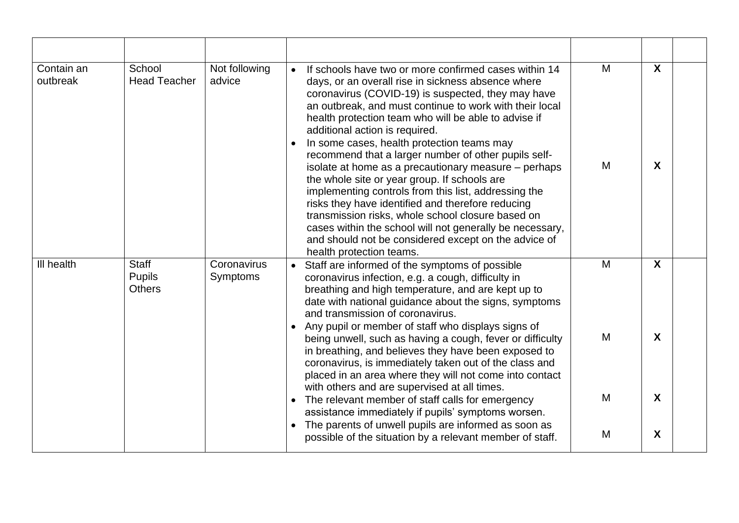| Contain an<br>outbreak | School<br><b>Head Teacher</b>                  | Not following<br>advice        | If schools have two or more confirmed cases within 14<br>days, or an overall rise in sickness absence where<br>coronavirus (COVID-19) is suspected, they may have<br>an outbreak, and must continue to work with their local<br>health protection team who will be able to advise if<br>additional action is required.<br>In some cases, health protection teams may<br>recommend that a larger number of other pupils self-<br>isolate at home as a precautionary measure - perhaps<br>the whole site or year group. If schools are<br>implementing controls from this list, addressing the<br>risks they have identified and therefore reducing<br>transmission risks, whole school closure based on<br>cases within the school will not generally be necessary,<br>and should not be considered except on the advice of<br>health protection teams. | M<br>M | X<br>X |  |
|------------------------|------------------------------------------------|--------------------------------|--------------------------------------------------------------------------------------------------------------------------------------------------------------------------------------------------------------------------------------------------------------------------------------------------------------------------------------------------------------------------------------------------------------------------------------------------------------------------------------------------------------------------------------------------------------------------------------------------------------------------------------------------------------------------------------------------------------------------------------------------------------------------------------------------------------------------------------------------------|--------|--------|--|
| III health             | <b>Staff</b><br><b>Pupils</b><br><b>Others</b> | Coronavirus<br><b>Symptoms</b> | Staff are informed of the symptoms of possible<br>coronavirus infection, e.g. a cough, difficulty in<br>breathing and high temperature, and are kept up to<br>date with national guidance about the signs, symptoms<br>and transmission of coronavirus.<br>Any pupil or member of staff who displays signs of<br>being unwell, such as having a cough, fever or difficulty<br>in breathing, and believes they have been exposed to<br>coronavirus, is immediately taken out of the class and<br>placed in an area where they will not come into contact                                                                                                                                                                                                                                                                                                | M<br>M | X<br>X |  |
|                        |                                                |                                | with others and are supervised at all times.<br>The relevant member of staff calls for emergency<br>assistance immediately if pupils' symptoms worsen.                                                                                                                                                                                                                                                                                                                                                                                                                                                                                                                                                                                                                                                                                                 | M      | X      |  |
|                        |                                                |                                | The parents of unwell pupils are informed as soon as<br>possible of the situation by a relevant member of staff.                                                                                                                                                                                                                                                                                                                                                                                                                                                                                                                                                                                                                                                                                                                                       | M      | X      |  |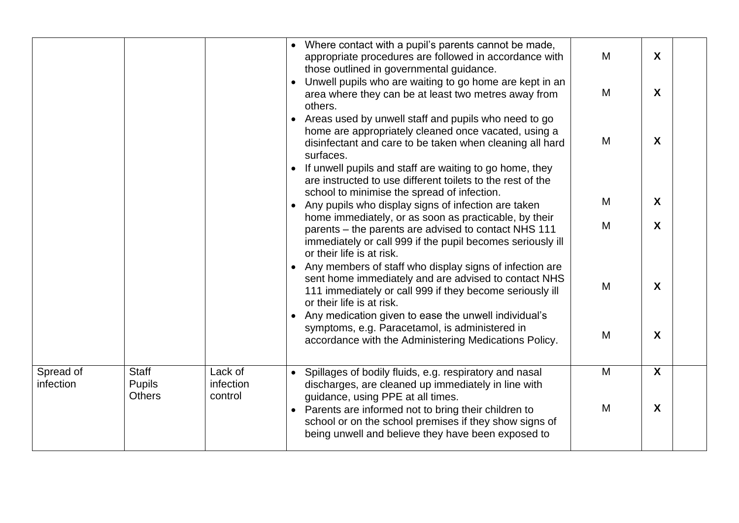|           |               |           |           | • Where contact with a pupil's parents cannot be made,                                                                |   |                           |  |
|-----------|---------------|-----------|-----------|-----------------------------------------------------------------------------------------------------------------------|---|---------------------------|--|
|           |               |           |           | appropriate procedures are followed in accordance with                                                                | M | $\boldsymbol{X}$          |  |
|           |               |           |           | those outlined in governmental guidance.                                                                              |   |                           |  |
|           |               |           |           | Unwell pupils who are waiting to go home are kept in an                                                               | M | $\boldsymbol{X}$          |  |
|           |               |           |           | area where they can be at least two metres away from<br>others.                                                       |   |                           |  |
|           |               |           | $\bullet$ | Areas used by unwell staff and pupils who need to go                                                                  |   |                           |  |
|           |               |           |           | home are appropriately cleaned once vacated, using a                                                                  |   |                           |  |
|           |               |           |           | disinfectant and care to be taken when cleaning all hard                                                              | M | $\boldsymbol{X}$          |  |
|           |               |           |           | surfaces.                                                                                                             |   |                           |  |
|           |               |           |           | If unwell pupils and staff are waiting to go home, they<br>are instructed to use different toilets to the rest of the |   |                           |  |
|           |               |           |           | school to minimise the spread of infection.                                                                           |   |                           |  |
|           |               |           |           | Any pupils who display signs of infection are taken                                                                   | M | $\boldsymbol{X}$          |  |
|           |               |           |           | home immediately, or as soon as practicable, by their                                                                 | M | $\boldsymbol{X}$          |  |
|           |               |           |           | parents – the parents are advised to contact NHS 111                                                                  |   |                           |  |
|           |               |           |           | immediately or call 999 if the pupil becomes seriously ill<br>or their life is at risk.                               |   |                           |  |
|           |               |           |           | Any members of staff who display signs of infection are                                                               |   |                           |  |
|           |               |           |           | sent home immediately and are advised to contact NHS                                                                  | M | $\boldsymbol{X}$          |  |
|           |               |           |           | 111 immediately or call 999 if they become seriously ill                                                              |   |                           |  |
|           |               |           |           | or their life is at risk.<br>Any medication given to ease the unwell individual's                                     |   |                           |  |
|           |               |           |           | symptoms, e.g. Paracetamol, is administered in                                                                        |   |                           |  |
|           |               |           |           | accordance with the Administering Medications Policy.                                                                 | M | $\boldsymbol{X}$          |  |
|           |               |           |           |                                                                                                                       |   |                           |  |
| Spread of | <b>Staff</b>  | Lack of   |           | Spillages of bodily fluids, e.g. respiratory and nasal                                                                | M | $\boldsymbol{\mathsf{X}}$ |  |
| infection | <b>Pupils</b> | infection |           | discharges, are cleaned up immediately in line with                                                                   |   |                           |  |
|           | <b>Others</b> | control   |           | guidance, using PPE at all times.                                                                                     | M | $\boldsymbol{X}$          |  |
|           |               |           |           | Parents are informed not to bring their children to<br>school or on the school premises if they show signs of         |   |                           |  |
|           |               |           |           | being unwell and believe they have been exposed to                                                                    |   |                           |  |
|           |               |           |           |                                                                                                                       |   |                           |  |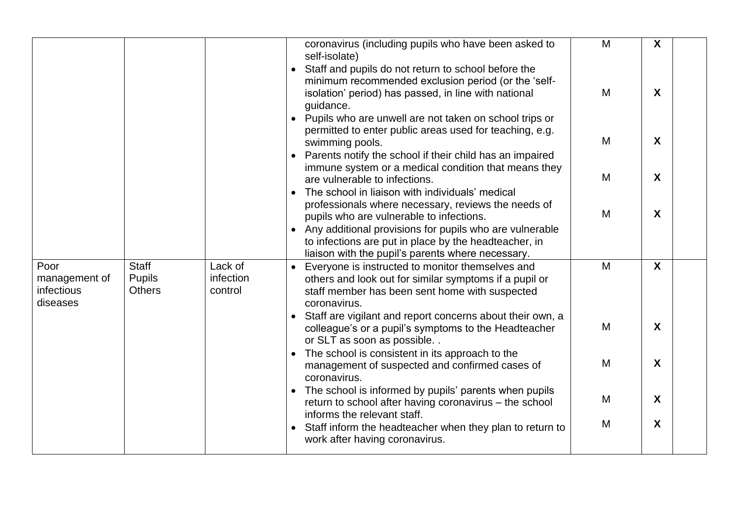|                                         |                                |                      | coronavirus (including pupils who have been asked to<br>self-isolate)                                                                                                                                                 | M | X                         |
|-----------------------------------------|--------------------------------|----------------------|-----------------------------------------------------------------------------------------------------------------------------------------------------------------------------------------------------------------------|---|---------------------------|
|                                         |                                |                      | Staff and pupils do not return to school before the<br>$\bullet$<br>minimum recommended exclusion period (or the 'self-<br>isolation' period) has passed, in line with national<br>guidance.                          | M | X                         |
|                                         |                                |                      | Pupils who are unwell are not taken on school trips or<br>permitted to enter public areas used for teaching, e.g.<br>swimming pools.<br>Parents notify the school if their child has an impaired                      | M | $\boldsymbol{\mathsf{X}}$ |
|                                         |                                |                      | immune system or a medical condition that means they<br>are vulnerable to infections.<br>The school in liaison with individuals' medical                                                                              | M | $\boldsymbol{X}$          |
|                                         |                                |                      | professionals where necessary, reviews the needs of<br>pupils who are vulnerable to infections.<br>• Any additional provisions for pupils who are vulnerable<br>to infections are put in place by the headteacher, in | M | X                         |
| Poor                                    | <b>Staff</b>                   | Lack of              | liaison with the pupil's parents where necessary.<br>Everyone is instructed to monitor themselves and                                                                                                                 | M | $\boldsymbol{X}$          |
| management of<br>infectious<br>diseases | <b>Pupils</b><br><b>Others</b> | infection<br>control | others and look out for similar symptoms if a pupil or<br>staff member has been sent home with suspected<br>coronavirus.<br>Staff are vigilant and report concerns about their own, a                                 |   |                           |
|                                         |                                |                      | colleague's or a pupil's symptoms to the Headteacher<br>or SLT as soon as possible. .                                                                                                                                 | M | $\boldsymbol{X}$          |
|                                         |                                |                      | The school is consistent in its approach to the<br>management of suspected and confirmed cases of<br>coronavirus.                                                                                                     | M | X                         |
|                                         |                                |                      | The school is informed by pupils' parents when pupils<br>return to school after having coronavirus – the school<br>informs the relevant staff.                                                                        | M | X                         |
|                                         |                                |                      | Staff inform the headteacher when they plan to return to<br>work after having coronavirus.                                                                                                                            | M | X                         |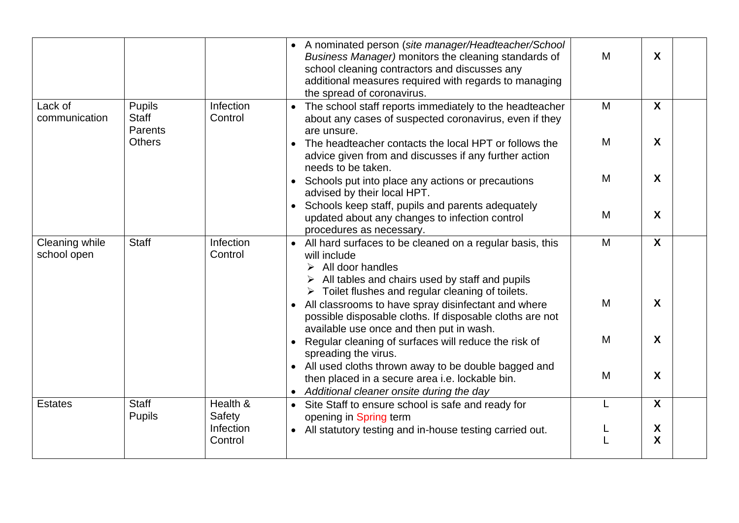|                               |                                          |                      | • A nominated person (site manager/Headteacher/School<br>M<br>Business Manager) monitors the cleaning standards of<br>school cleaning contractors and discusses any<br>additional measures required with regards to managing<br>the spread of coronavirus. | X                       |
|-------------------------------|------------------------------------------|----------------------|------------------------------------------------------------------------------------------------------------------------------------------------------------------------------------------------------------------------------------------------------------|-------------------------|
| Lack of<br>communication      | <b>Pupils</b><br><b>Staff</b><br>Parents | Infection<br>Control | M<br>The school staff reports immediately to the headteacher<br>about any cases of suspected coronavirus, even if they<br>are unsure.                                                                                                                      | $\boldsymbol{X}$        |
|                               | <b>Others</b>                            |                      | M<br>The headteacher contacts the local HPT or follows the<br>advice given from and discusses if any further action<br>needs to be taken.                                                                                                                  | X                       |
|                               |                                          |                      | M<br>Schools put into place any actions or precautions<br>advised by their local HPT.                                                                                                                                                                      | X                       |
|                               |                                          |                      | Schools keep staff, pupils and parents adequately<br>M<br>updated about any changes to infection control<br>procedures as necessary.                                                                                                                       | X                       |
| Cleaning while<br>school open | <b>Staff</b>                             | Infection<br>Control | M<br>• All hard surfaces to be cleaned on a regular basis, this<br>will include<br>All door handles<br>➤<br>All tables and chairs used by staff and pupils<br>$\triangleright$ Toilet flushes and regular cleaning of toilets.                             | X                       |
|                               |                                          |                      | M<br>All classrooms to have spray disinfectant and where<br>possible disposable cloths. If disposable cloths are not<br>available use once and then put in wash.                                                                                           | $\boldsymbol{X}$        |
|                               |                                          |                      | M<br>Regular cleaning of surfaces will reduce the risk of<br>spreading the virus.                                                                                                                                                                          | X                       |
|                               |                                          |                      | • All used cloths thrown away to be double bagged and<br>M<br>then placed in a secure area i.e. lockable bin.<br>• Additional cleaner onsite during the day                                                                                                | $\boldsymbol{X}$        |
| <b>Estates</b>                | <b>Staff</b><br><b>Pupils</b>            | Health &<br>Safety   | L<br>Site Staff to ensure school is safe and ready for<br>$\bullet$<br>opening in Spring term                                                                                                                                                              | $\overline{\mathbf{X}}$ |
|                               |                                          | Infection<br>Control | • All statutory testing and in-house testing carried out.                                                                                                                                                                                                  | X<br>X                  |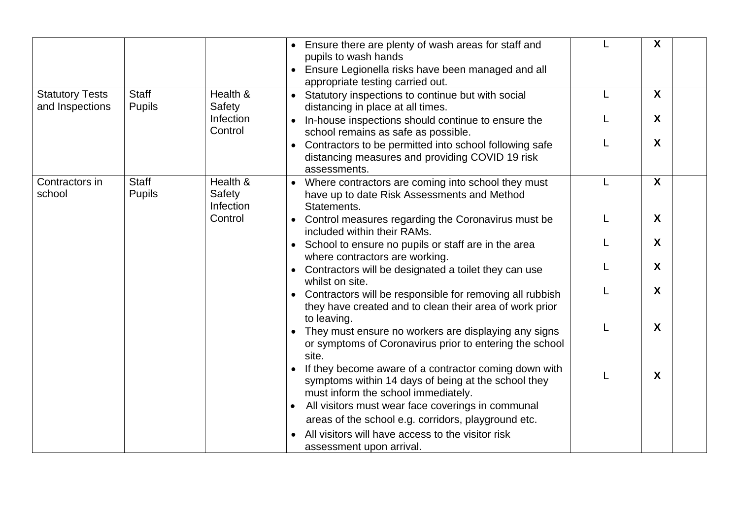|                                           |                               |                                 | Ensure there are plenty of wash areas for staff and<br>pupils to wash hands<br>Ensure Legionella risks have been managed and all<br>appropriate testing carried out. |   | X |
|-------------------------------------------|-------------------------------|---------------------------------|----------------------------------------------------------------------------------------------------------------------------------------------------------------------|---|---|
| <b>Statutory Tests</b><br>and Inspections | <b>Staff</b><br><b>Pupils</b> | Health &<br>Safety              | • Statutory inspections to continue but with social<br>distancing in place at all times.                                                                             | L | X |
|                                           |                               | Infection<br>Control            | In-house inspections should continue to ensure the<br>school remains as safe as possible.                                                                            |   | X |
|                                           |                               |                                 | Contractors to be permitted into school following safe<br>distancing measures and providing COVID 19 risk<br>assessments.                                            |   | X |
| Contractors in<br>school                  | <b>Staff</b><br><b>Pupils</b> | Health &<br>Safety<br>Infection | • Where contractors are coming into school they must<br>have up to date Risk Assessments and Method<br>Statements.                                                   |   | X |
|                                           |                               | Control                         | • Control measures regarding the Coronavirus must be<br>included within their RAMs.                                                                                  |   | X |
|                                           |                               |                                 | • School to ensure no pupils or staff are in the area<br>where contractors are working.                                                                              |   | X |
|                                           |                               |                                 | Contractors will be designated a toilet they can use                                                                                                                 |   | X |
|                                           |                               |                                 | whilst on site.<br>Contractors will be responsible for removing all rubbish<br>they have created and to clean their area of work prior<br>to leaving.                |   | X |
|                                           |                               |                                 | They must ensure no workers are displaying any signs<br>or symptoms of Coronavirus prior to entering the school<br>site.                                             |   | X |
|                                           |                               |                                 | If they become aware of a contractor coming down with<br>symptoms within 14 days of being at the school they<br>must inform the school immediately.                  |   | X |
|                                           |                               |                                 | All visitors must wear face coverings in communal                                                                                                                    |   |   |
|                                           |                               |                                 | areas of the school e.g. corridors, playground etc.                                                                                                                  |   |   |
|                                           |                               |                                 | All visitors will have access to the visitor risk<br>assessment upon arrival.                                                                                        |   |   |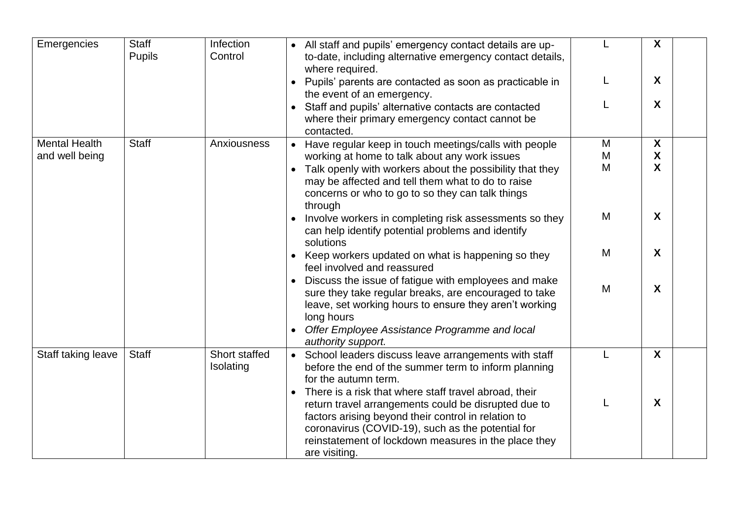| Emergencies          | <b>Staff</b><br><b>Pupils</b> | Infection<br>Control       | • All staff and pupils' emergency contact details are up-<br>to-date, including alternative emergency contact details,<br>where required.                                                                                                                    |   | X                         |
|----------------------|-------------------------------|----------------------------|--------------------------------------------------------------------------------------------------------------------------------------------------------------------------------------------------------------------------------------------------------------|---|---------------------------|
|                      |                               |                            | Pupils' parents are contacted as soon as practicable in<br>the event of an emergency.                                                                                                                                                                        |   | X                         |
|                      |                               |                            | • Staff and pupils' alternative contacts are contacted<br>where their primary emergency contact cannot be<br>contacted.                                                                                                                                      |   | X                         |
| <b>Mental Health</b> | <b>Staff</b>                  | Anxiousness                | Have regular keep in touch meetings/calls with people<br>$\bullet$                                                                                                                                                                                           | M | X                         |
| and well being       |                               |                            | working at home to talk about any work issues                                                                                                                                                                                                                | M | X                         |
|                      |                               |                            | Talk openly with workers about the possibility that they<br>$\bullet$<br>may be affected and tell them what to do to raise<br>concerns or who to go to so they can talk things<br>through                                                                    | M | $\boldsymbol{\mathsf{X}}$ |
|                      |                               |                            | Involve workers in completing risk assessments so they<br>can help identify potential problems and identify<br>solutions                                                                                                                                     | M | X                         |
|                      |                               |                            | Keep workers updated on what is happening so they<br>feel involved and reassured                                                                                                                                                                             | M | X                         |
| Staff taking leave   |                               |                            | Discuss the issue of fatigue with employees and make<br>sure they take regular breaks, are encouraged to take<br>leave, set working hours to ensure they aren't working<br>long hours<br>Offer Employee Assistance Programme and local<br>authority support. | M | X                         |
|                      | <b>Staff</b>                  | Short staffed<br>Isolating | • School leaders discuss leave arrangements with staff<br>before the end of the summer term to inform planning<br>for the autumn term.<br>There is a risk that where staff travel abroad, their                                                              |   | X                         |
|                      |                               |                            | return travel arrangements could be disrupted due to<br>factors arising beyond their control in relation to<br>coronavirus (COVID-19), such as the potential for<br>reinstatement of lockdown measures in the place they<br>are visiting.                    |   | X                         |